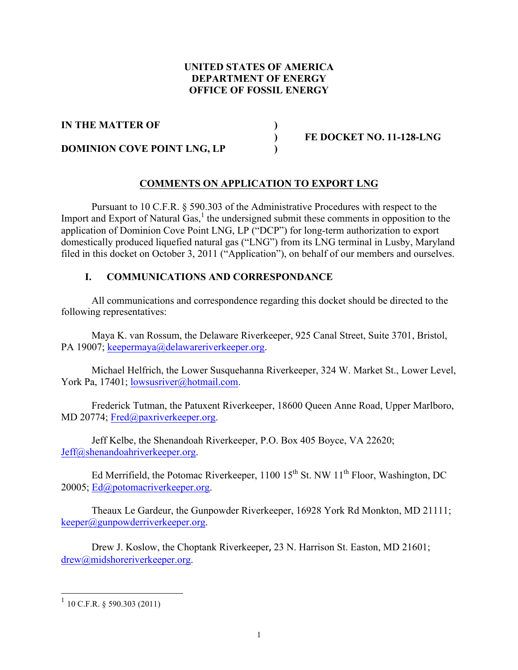# **UNITED STATES OF AMERICA DEPARTMENT OF ENERGY OFFICE OF FOSSIL ENERGY**

**IN THE MATTER OF )**

**DOMINION COVE POINT LNG, LP )**

**) FE DOCKET NO. 11-128-LNG**

# **COMMENTS ON APPLICATION TO EXPORT LNG**

Pursuant to 10 C.F.R. § 590.303 of the Administrative Procedures with respect to the Import and Export of Natural Gas, $<sup>1</sup>$  the undersigned submit these comments in opposition to the</sup> application of Dominion Cove Point LNG, LP ("DCP") for long-term authorization to export domestically produced liquefied natural gas ("LNG") from its LNG terminal in Lusby, Maryland filed in this docket on October 3, 2011 ("Application"), on behalf of our members and ourselves.

# **I. COMMUNICATIONS AND CORRESPONDANCE**

All communications and correspondence regarding this docket should be directed to the following representatives:

Maya K. van Rossum, the Delaware Riverkeeper, 925 Canal Street, Suite 3701, Bristol, PA 19007; keepermaya@delawareriverkeeper.org.

Michael Helfrich, the Lower Susquehanna Riverkeeper, 324 W. Market St., Lower Level, York Pa, 17401; lowsusriver@hotmail.com.

Frederick Tutman, the Patuxent Riverkeeper, 18600 Queen Anne Road, Upper Marlboro, MD 20774; Fred@paxriverkeeper.org.

Jeff Kelbe, the Shenandoah Riverkeeper, P.O. Box 405 Boyce, VA 22620; Jeff@shenandoahriverkeeper.org.

Ed Merrifield, the Potomac Riverkeeper, 1100 15<sup>th</sup> St. NW 11<sup>th</sup> Floor, Washington, DC 20005; Ed@potomacriverkeeper.org.

Theaux Le Gardeur, the Gunpowder Riverkeeper, 16928 York Rd Monkton, MD 21111; keeper@gunpowderriverkeeper.org.

Drew J. Koslow, the Choptank Riverkeeper, 23 N. Harrison St. Easton, MD 21601; drew@midshoreriverkeeper.org.

 $^{1}$  10 C.F.R. § 590.303 (2011)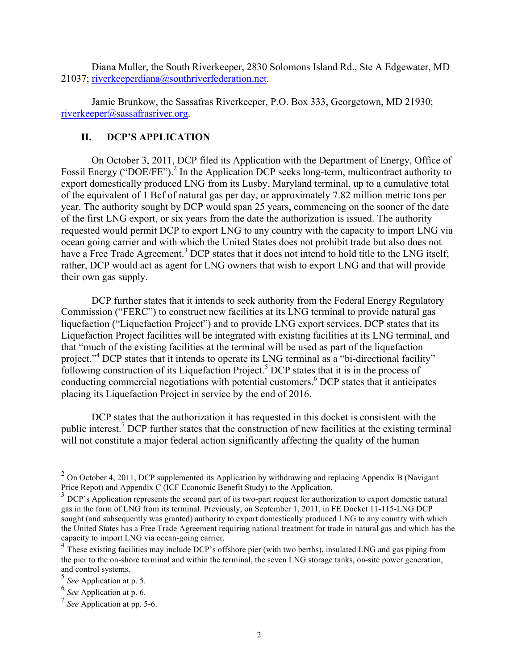Diana Muller, the South Riverkeeper, 2830 Solomons Island Rd., Ste A Edgewater, MD 21037; riverkeeperdiana@southriverfederation.net.

Jamie Brunkow, the Sassafras Riverkeeper, P.O. Box 333, Georgetown, MD 21930; riverkeeper@sassafrasriver.org.

## **II. DCP'S APPLICATION**

On October 3, 2011, DCP filed its Application with the Department of Energy, Office of Fossil Energy ("DOE/FE").<sup>2</sup> In the Application DCP seeks long-term, multicontract authority to export domestically produced LNG from its Lusby, Maryland terminal, up to a cumulative total of the equivalent of 1 Bcf of natural gas per day, or approximately 7.82 million metric tons per year. The authority sought by DCP would span 25 years, commencing on the sooner of the date of the first LNG export, or six years from the date the authorization is issued. The authority requested would permit DCP to export LNG to any country with the capacity to import LNG via ocean going carrier and with which the United States does not prohibit trade but also does not have a Free Trade Agreement.<sup>3</sup> DCP states that it does not intend to hold title to the LNG itself; rather, DCP would act as agent for LNG owners that wish to export LNG and that will provide their own gas supply.

DCP further states that it intends to seek authority from the Federal Energy Regulatory Commission ("FERC") to construct new facilities at its LNG terminal to provide natural gas liquefaction ("Liquefaction Project") and to provide LNG export services. DCP states that its Liquefaction Project facilities will be integrated with existing facilities at its LNG terminal, and that "much of the existing facilities at the terminal will be used as part of the liquefaction project."<sup>4</sup> DCP states that it intends to operate its LNG terminal as a "bi-directional facility" following construction of its Liquefaction Project.<sup>5</sup> DCP states that it is in the process of conducting commercial negotiations with potential customers.<sup>6</sup> DCP states that it anticipates placing its Liquefaction Project in service by the end of 2016.

DCP states that the authorization it has requested in this docket is consistent with the public interest.7 DCP further states that the construction of new facilities at the existing terminal will not constitute a major federal action significantly affecting the quality of the human

<sup>&</sup>lt;sup>2</sup> On October 4, 2011, DCP supplemented its Application by withdrawing and replacing Appendix B (Navigant Price Repot) and Appendix C (ICF Economic Benefit Study) to the Application.

<sup>&</sup>lt;sup>3</sup> DCP's Application represents the second part of its two-part request for authorization to export domestic natural gas in the form of LNG from its terminal. Previously, on September 1, 2011, in FE Docket 11-115-LNG DCP sought (and subsequently was granted) authority to export domestically produced LNG to any country with which the United States has a Free Trade Agreement requiring national treatment for trade in natural gas and which has the capacity to import LNG via ocean-going carrier.

<sup>&</sup>lt;sup>4</sup> These existing facilities may include DCP's offshore pier (with two berths), insulated LNG and gas piping from the pier to the on-shore terminal and within the terminal, the seven LNG storage tanks, on-site power generation, and control systems.

<sup>5</sup> *See* Application at p. 5.

<sup>6</sup> *See* Application at p. 6.

<sup>7</sup> *See* Application at pp. 5-6.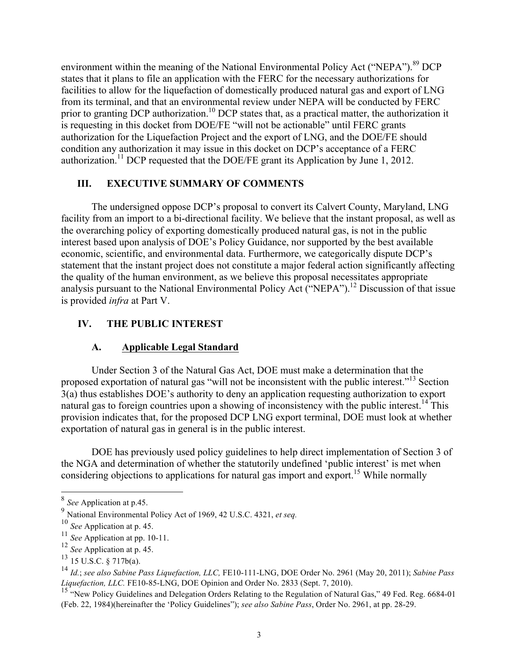environment within the meaning of the National Environmental Policy Act ("NEPA").<sup>89</sup> DCP states that it plans to file an application with the FERC for the necessary authorizations for facilities to allow for the liquefaction of domestically produced natural gas and export of LNG from its terminal, and that an environmental review under NEPA will be conducted by FERC prior to granting DCP authorization.<sup>10</sup> DCP states that, as a practical matter, the authorization it is requesting in this docket from DOE/FE "will not be actionable" until FERC grants authorization for the Liquefaction Project and the export of LNG, and the DOE/FE should condition any authorization it may issue in this docket on DCP's acceptance of a FERC authorization.<sup>11</sup> DCP requested that the DOE/FE grant its Application by June 1, 2012.

# **III. EXECUTIVE SUMMARY OF COMMENTS**

The undersigned oppose DCP's proposal to convert its Calvert County, Maryland, LNG facility from an import to a bi-directional facility. We believe that the instant proposal, as well as the overarching policy of exporting domestically produced natural gas, is not in the public interest based upon analysis of DOE's Policy Guidance, nor supported by the best available economic, scientific, and environmental data. Furthermore, we categorically dispute DCP's statement that the instant project does not constitute a major federal action significantly affecting the quality of the human environment, as we believe this proposal necessitates appropriate analysis pursuant to the National Environmental Policy Act ("NEPA").<sup>12</sup> Discussion of that issue is provided *infra* at Part V.

# **IV. THE PUBLIC INTEREST**

# **A. Applicable Legal Standard**

Under Section 3 of the Natural Gas Act, DOE must make a determination that the proposed exportation of natural gas "will not be inconsistent with the public interest."<sup>13</sup> Section 3(a) thus establishes DOE's authority to deny an application requesting authorization to export natural gas to foreign countries upon a showing of inconsistency with the public interest.<sup>14</sup> This provision indicates that, for the proposed DCP LNG export terminal, DOE must look at whether exportation of natural gas in general is in the public interest.

DOE has previously used policy guidelines to help direct implementation of Section 3 of the NGA and determination of whether the statutorily undefined 'public interest' is met when considering objections to applications for natural gas import and export. <sup>15</sup> While normally

 <sup>8</sup> *See* Application at p.45.

<sup>9</sup> National Environmental Policy Act of 1969, 42 U.S.C. 4321, *et seq.*

<sup>10</sup> *See* Application at p. 45.

<sup>11</sup> *See* Application at pp. 10-11.

<sup>12</sup> *See* Application at p. 45.

 $13$  15 U.S.C. § 717b(a).

<sup>14</sup> *Id.*; *see also Sabine Pass Liquefaction, LLC,* FE10-111-LNG, DOE Order No. 2961 (May 20, 2011); *Sabine Pass Liquefaction, LLC.* FE10-85-LNG, DOE Opinion and Order No. 2833 (Sept. 7, 2010).

<sup>&</sup>lt;sup>15</sup> "New Policy Guidelines and Delegation Orders Relating to the Regulation of Natural Gas," 49 Fed. Reg. 6684-01 (Feb. 22, 1984)(hereinafter the 'Policy Guidelines"); *see also Sabine Pass*, Order No. 2961, at pp. 28-29.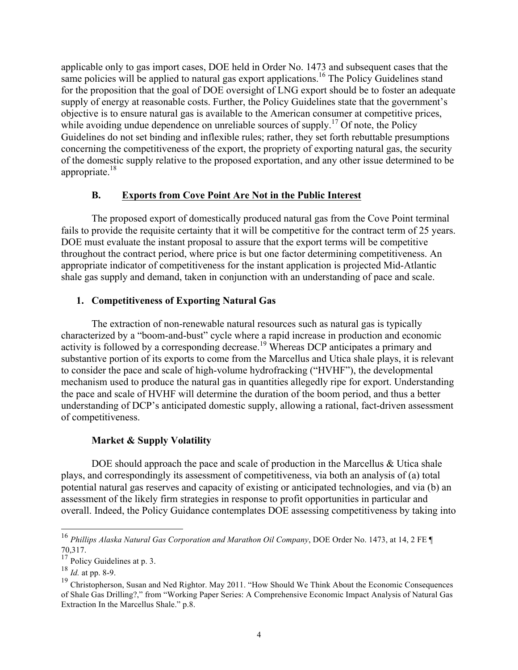applicable only to gas import cases, DOE held in Order No. 1473 and subsequent cases that the same policies will be applied to natural gas export applications.<sup>16</sup> The Policy Guidelines stand for the proposition that the goal of DOE oversight of LNG export should be to foster an adequate supply of energy at reasonable costs. Further, the Policy Guidelines state that the government's objective is to ensure natural gas is available to the American consumer at competitive prices, while avoiding undue dependence on unreliable sources of supply.<sup>17</sup> Of note, the Policy Guidelines do not set binding and inflexible rules; rather, they set forth rebuttable presumptions concerning the competitiveness of the export, the propriety of exporting natural gas, the security of the domestic supply relative to the proposed exportation, and any other issue determined to be appropriate. $18$ 

## **B. Exports from Cove Point Are Not in the Public Interest**

The proposed export of domestically produced natural gas from the Cove Point terminal fails to provide the requisite certainty that it will be competitive for the contract term of 25 years. DOE must evaluate the instant proposal to assure that the export terms will be competitive throughout the contract period, where price is but one factor determining competitiveness. An appropriate indicator of competitiveness for the instant application is projected Mid-Atlantic shale gas supply and demand, taken in conjunction with an understanding of pace and scale.

# **1. Competitiveness of Exporting Natural Gas**

The extraction of non-renewable natural resources such as natural gas is typically characterized by a "boom-and-bust" cycle where a rapid increase in production and economic activity is followed by a corresponding decrease.<sup>19</sup> Whereas DCP anticipates a primary and substantive portion of its exports to come from the Marcellus and Utica shale plays, it is relevant to consider the pace and scale of high-volume hydrofracking ("HVHF"), the developmental mechanism used to produce the natural gas in quantities allegedly ripe for export. Understanding the pace and scale of HVHF will determine the duration of the boom period, and thus a better understanding of DCP's anticipated domestic supply, allowing a rational, fact-driven assessment of competitiveness.

# **Market & Supply Volatility**

DOE should approach the pace and scale of production in the Marcellus & Utica shale plays, and correspondingly its assessment of competitiveness, via both an analysis of (a) total potential natural gas reserves and capacity of existing or anticipated technologies, and via (b) an assessment of the likely firm strategies in response to profit opportunities in particular and overall. Indeed, the Policy Guidance contemplates DOE assessing competitiveness by taking into

 <sup>16</sup> *Phillips Alaska Natural Gas Corporation and Marathon Oil Company*, DOE Order No. 1473, at 14, 2 FE ¶ 70,317.

<sup>&</sup>lt;sup>17</sup> Policy Guidelines at p. 3.

<sup>18</sup> *Id.* at pp. 8-9.

<sup>&</sup>lt;sup>19</sup> Christopherson, Susan and Ned Rightor. May 2011. "How Should We Think About the Economic Consequences of Shale Gas Drilling?," from "Working Paper Series: A Comprehensive Economic Impact Analysis of Natural Gas Extraction In the Marcellus Shale." p.8.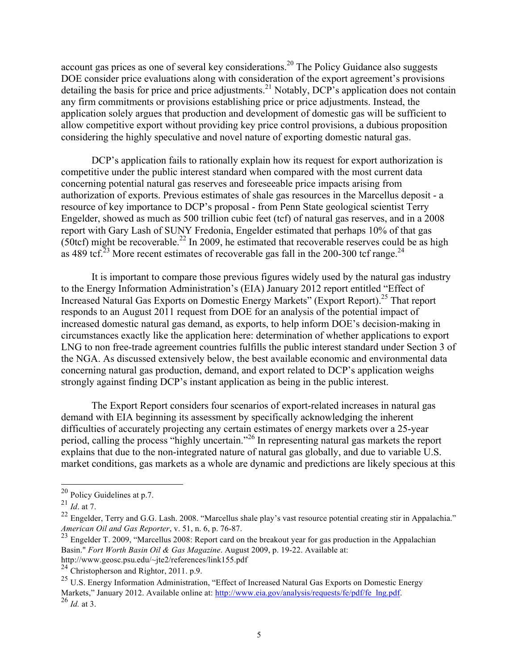account gas prices as one of several key considerations.<sup>20</sup> The Policy Guidance also suggests DOE consider price evaluations along with consideration of the export agreement's provisions detailing the basis for price and price adjustments.<sup>21</sup> Notably, DCP's application does not contain any firm commitments or provisions establishing price or price adjustments. Instead, the application solely argues that production and development of domestic gas will be sufficient to allow competitive export without providing key price control provisions, a dubious proposition considering the highly speculative and novel nature of exporting domestic natural gas.

DCP's application fails to rationally explain how its request for export authorization is competitive under the public interest standard when compared with the most current data concerning potential natural gas reserves and foreseeable price impacts arising from authorization of exports. Previous estimates of shale gas resources in the Marcellus deposit - a resource of key importance to DCP's proposal - from Penn State geological scientist Terry Engelder, showed as much as 500 trillion cubic feet (tcf) of natural gas reserves, and in a 2008 report with Gary Lash of SUNY Fredonia, Engelder estimated that perhaps 10% of that gas (50tcf) might be recoverable. <sup>22</sup> In 2009, he estimated that recoverable reserves could be as high as 489 tcf.<sup>23</sup> More recent estimates of recoverable gas fall in the 200-300 tcf range.<sup>24</sup>

It is important to compare those previous figures widely used by the natural gas industry to the Energy Information Administration's (EIA) January 2012 report entitled "Effect of Increased Natural Gas Exports on Domestic Energy Markets" (Export Report).25 That report responds to an August 2011 request from DOE for an analysis of the potential impact of increased domestic natural gas demand, as exports, to help inform DOE's decision-making in circumstances exactly like the application here: determination of whether applications to export LNG to non free-trade agreement countries fulfills the public interest standard under Section 3 of the NGA. As discussed extensively below, the best available economic and environmental data concerning natural gas production, demand, and export related to DCP's application weighs strongly against finding DCP's instant application as being in the public interest.

The Export Report considers four scenarios of export-related increases in natural gas demand with EIA beginning its assessment by specifically acknowledging the inherent difficulties of accurately projecting any certain estimates of energy markets over a 25-year period, calling the process "highly uncertain."<sup>26</sup> In representing natural gas markets the report explains that due to the non-integrated nature of natural gas globally, and due to variable U.S. market conditions, gas markets as a whole are dynamic and predictions are likely specious at this

 <sup>20</sup> Policy Guidelines at p.7.

<sup>21</sup> *Id*. at 7.

<sup>&</sup>lt;sup>22</sup> Engelder, Terry and G.G. Lash. 2008. "Marcellus shale play's vast resource potential creating stir in Appalachia." *American Oil and Gas Reporter*, v. 51, n. 6, p. 76-87.

<sup>&</sup>lt;sup>23</sup> Engelder T. 2009, "Marcellus 2008: Report card on the breakout year for gas production in the Appalachian Basin." *Fort Worth Basin Oil & Gas Magazine*. August 2009, p. 19-22. Available at:

http://www.geosc.psu.edu/~jte2/references/link155.pdf

 $^{24}$  Christopherson and Rightor, 2011. p.9.

<sup>&</sup>lt;sup>25</sup> U.S. Energy Information Administration, "Effect of Increased Natural Gas Exports on Domestic Energy Markets," January 2012. Available online at: http://www.eia.gov/analysis/requests/fe/pdf/fe\_lng.pdf. 26 *Id.* at 3.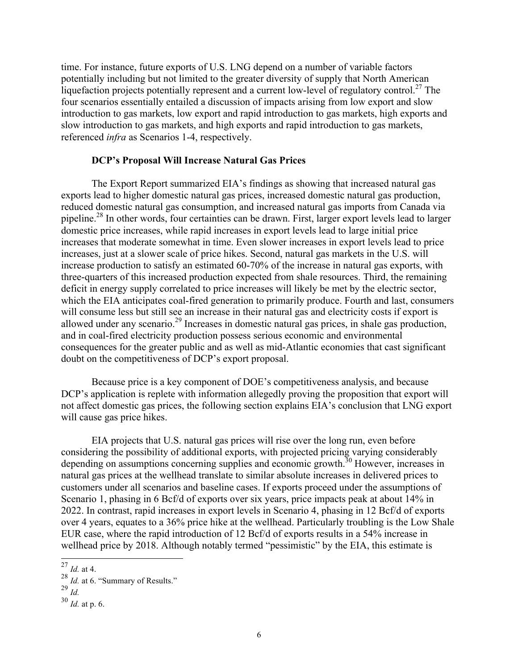time. For instance, future exports of U.S. LNG depend on a number of variable factors potentially including but not limited to the greater diversity of supply that North American liquefaction projects potentially represent and a current low-level of regulatory control.<sup>27</sup> The four scenarios essentially entailed a discussion of impacts arising from low export and slow introduction to gas markets, low export and rapid introduction to gas markets, high exports and slow introduction to gas markets, and high exports and rapid introduction to gas markets, referenced *infra* as Scenarios 1-4, respectively.

### **DCP's Proposal Will Increase Natural Gas Prices**

The Export Report summarized EIA's findings as showing that increased natural gas exports lead to higher domestic natural gas prices, increased domestic natural gas production, reduced domestic natural gas consumption, and increased natural gas imports from Canada via pipeline.<sup>28</sup> In other words, four certainties can be drawn. First, larger export levels lead to larger domestic price increases, while rapid increases in export levels lead to large initial price increases that moderate somewhat in time. Even slower increases in export levels lead to price increases, just at a slower scale of price hikes. Second, natural gas markets in the U.S. will increase production to satisfy an estimated 60-70% of the increase in natural gas exports, with three-quarters of this increased production expected from shale resources. Third, the remaining deficit in energy supply correlated to price increases will likely be met by the electric sector, which the EIA anticipates coal-fired generation to primarily produce. Fourth and last, consumers will consume less but still see an increase in their natural gas and electricity costs if export is allowed under any scenario.<sup>29</sup> Increases in domestic natural gas prices, in shale gas production, and in coal-fired electricity production possess serious economic and environmental consequences for the greater public and as well as mid-Atlantic economies that cast significant doubt on the competitiveness of DCP's export proposal.

Because price is a key component of DOE's competitiveness analysis, and because DCP's application is replete with information allegedly proving the proposition that export will not affect domestic gas prices, the following section explains EIA's conclusion that LNG export will cause gas price hikes.

EIA projects that U.S. natural gas prices will rise over the long run, even before considering the possibility of additional exports, with projected pricing varying considerably depending on assumptions concerning supplies and economic growth.<sup>30</sup> However, increases in natural gas prices at the wellhead translate to similar absolute increases in delivered prices to customers under all scenarios and baseline cases. If exports proceed under the assumptions of Scenario 1, phasing in 6 Bcf/d of exports over six years, price impacts peak at about 14% in 2022. In contrast, rapid increases in export levels in Scenario 4, phasing in 12 Bcf/d of exports over 4 years, equates to a 36% price hike at the wellhead. Particularly troubling is the Low Shale EUR case, where the rapid introduction of 12 Bcf/d of exports results in a 54% increase in wellhead price by 2018. Although notably termed "pessimistic" by the EIA, this estimate is

 <sup>27</sup> *Id.* at 4.

<sup>28</sup> *Id.* at 6. "Summary of Results."

 $^{29}$  *Id.* 

<sup>30</sup> *Id.* at p. 6.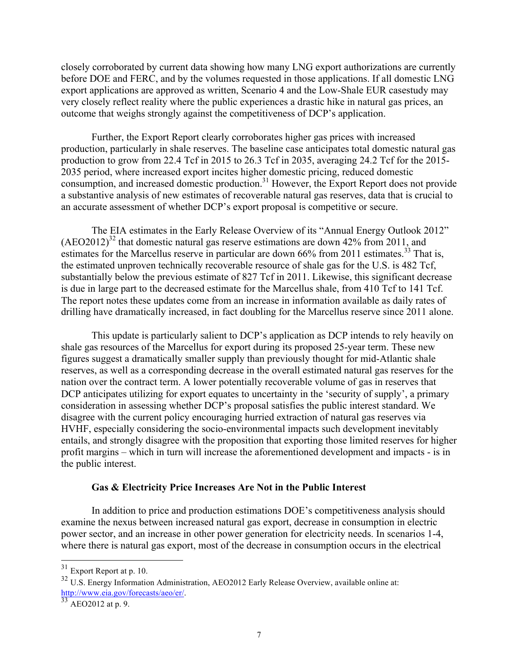closely corroborated by current data showing how many LNG export authorizations are currently before DOE and FERC, and by the volumes requested in those applications. If all domestic LNG export applications are approved as written, Scenario 4 and the Low-Shale EUR casestudy may very closely reflect reality where the public experiences a drastic hike in natural gas prices, an outcome that weighs strongly against the competitiveness of DCP's application.

Further, the Export Report clearly corroborates higher gas prices with increased production, particularly in shale reserves. The baseline case anticipates total domestic natural gas production to grow from 22.4 Tcf in 2015 to 26.3 Tcf in 2035, averaging 24.2 Tcf for the 2015- 2035 period, where increased export incites higher domestic pricing, reduced domestic consumption, and increased domestic production.31 However, the Export Report does not provide a substantive analysis of new estimates of recoverable natural gas reserves, data that is crucial to an accurate assessment of whether DCP's export proposal is competitive or secure.

The EIA estimates in the Early Release Overview of its "Annual Energy Outlook 2012"  $(AEO2012)^{32}$  that domestic natural gas reserve estimations are down 42% from 2011, and estimates for the Marcellus reserve in particular are down  $66\%$  from 2011 estimates.<sup>33</sup> That is, the estimated unproven technically recoverable resource of shale gas for the U.S. is 482 Tcf, substantially below the previous estimate of 827 Tcf in 2011. Likewise, this significant decrease is due in large part to the decreased estimate for the Marcellus shale, from 410 Tcf to 141 Tcf. The report notes these updates come from an increase in information available as daily rates of drilling have dramatically increased, in fact doubling for the Marcellus reserve since 2011 alone.

This update is particularly salient to DCP's application as DCP intends to rely heavily on shale gas resources of the Marcellus for export during its proposed 25-year term. These new figures suggest a dramatically smaller supply than previously thought for mid-Atlantic shale reserves, as well as a corresponding decrease in the overall estimated natural gas reserves for the nation over the contract term. A lower potentially recoverable volume of gas in reserves that DCP anticipates utilizing for export equates to uncertainty in the 'security of supply', a primary consideration in assessing whether DCP's proposal satisfies the public interest standard. We disagree with the current policy encouraging hurried extraction of natural gas reserves via HVHF, especially considering the socio-environmental impacts such development inevitably entails, and strongly disagree with the proposition that exporting those limited reserves for higher profit margins – which in turn will increase the aforementioned development and impacts - is in the public interest.

#### **Gas & Electricity Price Increases Are Not in the Public Interest**

In addition to price and production estimations DOE's competitiveness analysis should examine the nexus between increased natural gas export, decrease in consumption in electric power sector, and an increase in other power generation for electricity needs. In scenarios 1-4, where there is natural gas export, most of the decrease in consumption occurs in the electrical

 <sup>31</sup> Export Report at p. 10.

<sup>&</sup>lt;sup>32</sup> U.S. Energy Information Administration, AEO2012 Early Release Overview, available online at: http://www.eia.gov/forecasts/aeo/er/.<br><sup>33</sup> AEO2012 at p. 9.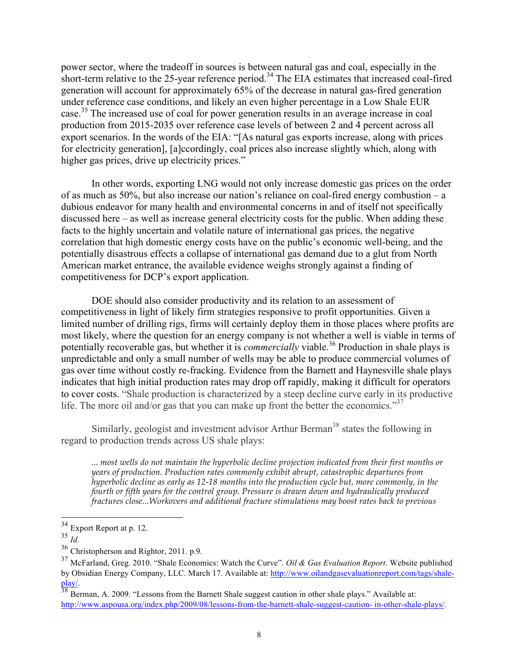power sector, where the tradeoff in sources is between natural gas and coal, especially in the short-term relative to the 25-year reference period.<sup>34</sup> The EIA estimates that increased coal-fired generation will account for approximately 65% of the decrease in natural gas-fired generation under reference case conditions, and likely an even higher percentage in a Low Shale EUR case.<sup>35</sup> The increased use of coal for power generation results in an average increase in coal production from 2015-2035 over reference case levels of between 2 and 4 percent across all export scenarios. In the words of the EIA: "[As natural gas exports increase, along with prices for electricity generation], [a]ccordingly, coal prices also increase slightly which, along with higher gas prices, drive up electricity prices."

In other words, exporting LNG would not only increase domestic gas prices on the order of as much as 50%, but also increase our nation's reliance on coal-fired energy combustion – a dubious endeavor for many health and environmental concerns in and of itself not specifically discussed here – as well as increase general electricity costs for the public. When adding these facts to the highly uncertain and volatile nature of international gas prices, the negative correlation that high domestic energy costs have on the public's economic well-being, and the potentially disastrous effects a collapse of international gas demand due to a glut from North American market entrance, the available evidence weighs strongly against a finding of competitiveness for DCP's export application.

DOE should also consider productivity and its relation to an assessment of competitiveness in light of likely firm strategies responsive to profit opportunities. Given a limited number of drilling rigs, firms will certainly deploy them in those places where profits are most likely, where the question for an energy company is not whether a well is viable in terms of potentially recoverable gas, but whether it is *commercially* viable.<sup>36</sup> Production in shale plays is unpredictable and only a small number of wells may be able to produce commercial volumes of gas over time without costly re-fracking. Evidence from the Barnett and Haynesville shale plays indicates that high initial production rates may drop off rapidly, making it difficult for operators to cover costs. "Shale production is characterized by a steep decline curve early in its productive life. The more oil and/or gas that you can make up front the better the economics."<sup>37</sup>

Similarly, geologist and investment advisor Arthur Berman<sup>38</sup> states the following in regard to production trends across US shale plays:

*... most wells do not maintain the hyperbolic decline projection indicated from their first months or years of production. Production rates commonly exhibit abrupt, catastrophic departures from hyperbolic decline as early as 12-18 months into the production cycle but, more commonly, in the fourth or fifth years for the control group. Pressure is drawn down and hydraulically produced fractures close...Workovers and additional fracture stimulations may boost rates back to previous* 

 <sup>34</sup> Export Report at p. 12.

 $^{35}$  *Id.*<br> $^{36}$  Christopherson and Rightor, 2011. p.9.

<sup>&</sup>lt;sup>37</sup> McFarland, Greg. 2010. "Shale Economics: Watch the Curve". *Oil & Gas Evaluation Report*. Website published by Obsidian Energy Company, LLC. March 17. Available at: http://www.oilandgasevaluationreport.com/tags/shaleplay/.<br><sup>38</sup> Berman, A. 2009. "Lessons from the Barnett Shale suggest caution in other shale plays." Available at:

http://www.aspousa.org/index.php/2009/08/lessons-from-the-barnett-shale-suggest-caution- in-other-shale-plays/.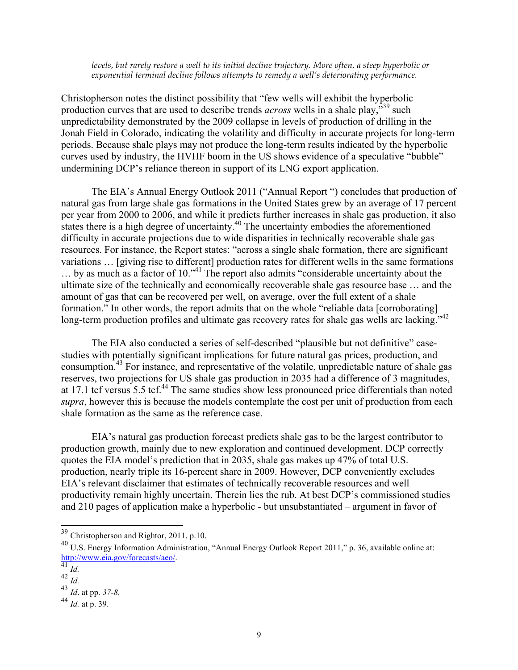*levels, but rarely restore a well to its initial decline trajectory. More often, a steep hyperbolic or exponential terminal decline follows attempts to remedy a well's deteriorating performance.*

Christopherson notes the distinct possibility that "few wells will exhibit the hyperbolic production curves that are used to describe trends *across* wells in a shale play,"<sup>39</sup> such unpredictability demonstrated by the 2009 collapse in levels of production of drilling in the Jonah Field in Colorado, indicating the volatility and difficulty in accurate projects for long-term periods. Because shale plays may not produce the long-term results indicated by the hyperbolic curves used by industry, the HVHF boom in the US shows evidence of a speculative "bubble" undermining DCP's reliance thereon in support of its LNG export application.

The EIA's Annual Energy Outlook 2011 ("Annual Report ") concludes that production of natural gas from large shale gas formations in the United States grew by an average of 17 percent per year from 2000 to 2006, and while it predicts further increases in shale gas production, it also states there is a high degree of uncertainty.<sup>40</sup> The uncertainty embodies the aforementioned difficulty in accurate projections due to wide disparities in technically recoverable shale gas resources. For instance, the Report states: "across a single shale formation, there are significant variations … [giving rise to different] production rates for different wells in the same formations … by as much as a factor of 10."<sup>41</sup> The report also admits "considerable uncertainty about the ultimate size of the technically and economically recoverable shale gas resource base … and the amount of gas that can be recovered per well, on average, over the full extent of a shale formation." In other words, the report admits that on the whole "reliable data [corroborating] long-term production profiles and ultimate gas recovery rates for shale gas wells are lacking."<sup>42</sup>

The EIA also conducted a series of self-described "plausible but not definitive" casestudies with potentially significant implications for future natural gas prices, production, and consumption.<sup>43</sup> For instance, and representative of the volatile, unpredictable nature of shale gas reserves, two projections for US shale gas production in 2035 had a difference of 3 magnitudes, at 17.1 tcf versus 5.5 tcf.<sup>44</sup> The same studies show less pronounced price differentials than noted *supra*, however this is because the models contemplate the cost per unit of production from each shale formation as the same as the reference case.

EIA's natural gas production forecast predicts shale gas to be the largest contributor to production growth, mainly due to new exploration and continued development. DCP correctly quotes the EIA model's prediction that in 2035, shale gas makes up 47% of total U.S. production, nearly triple its 16-percent share in 2009. However, DCP conveniently excludes EIA's relevant disclaimer that estimates of technically recoverable resources and well productivity remain highly uncertain. Therein lies the rub. At best DCP's commissioned studies and 210 pages of application make a hyperbolic - but unsubstantiated – argument in favor of

 <sup>39</sup> Christopherson and Rightor, 2011. p.10.

<sup>40</sup> U.S. Energy Information Administration, "Annual Energy Outlook Report 2011," p. 36, available online at: http://www.eia.gov/forecasts/aeo/. 41 *Id.*

<sup>42</sup> *Id.*

<sup>43</sup> *Id*. at pp. *37-8.*

<sup>44</sup> *Id.* at p. 39.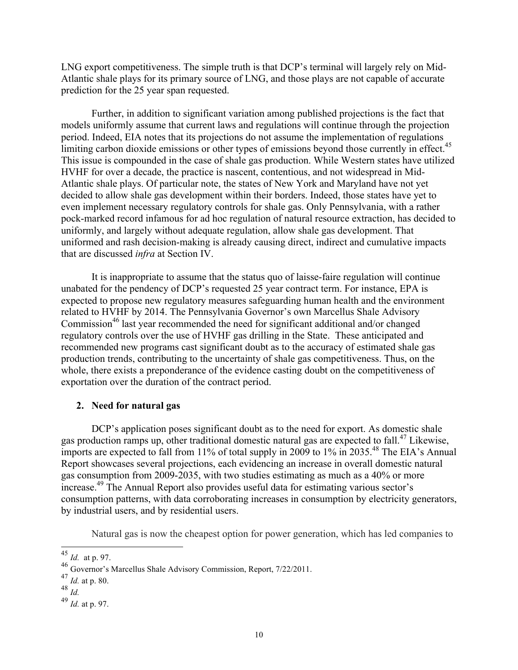LNG export competitiveness. The simple truth is that DCP's terminal will largely rely on Mid-Atlantic shale plays for its primary source of LNG, and those plays are not capable of accurate prediction for the 25 year span requested.

Further, in addition to significant variation among published projections is the fact that models uniformly assume that current laws and regulations will continue through the projection period. Indeed, EIA notes that its projections do not assume the implementation of regulations limiting carbon dioxide emissions or other types of emissions beyond those currently in effect.<sup>45</sup> This issue is compounded in the case of shale gas production. While Western states have utilized HVHF for over a decade, the practice is nascent, contentious, and not widespread in Mid-Atlantic shale plays. Of particular note, the states of New York and Maryland have not yet decided to allow shale gas development within their borders. Indeed, those states have yet to even implement necessary regulatory controls for shale gas. Only Pennsylvania, with a rather pock-marked record infamous for ad hoc regulation of natural resource extraction, has decided to uniformly, and largely without adequate regulation, allow shale gas development. That uniformed and rash decision-making is already causing direct, indirect and cumulative impacts that are discussed *infra* at Section IV.

It is inappropriate to assume that the status quo of laisse-faire regulation will continue unabated for the pendency of DCP's requested 25 year contract term. For instance, EPA is expected to propose new regulatory measures safeguarding human health and the environment related to HVHF by 2014. The Pennsylvania Governor's own Marcellus Shale Advisory Commission<sup>46</sup> last year recommended the need for significant additional and/or changed regulatory controls over the use of HVHF gas drilling in the State. These anticipated and recommended new programs cast significant doubt as to the accuracy of estimated shale gas production trends, contributing to the uncertainty of shale gas competitiveness. Thus, on the whole, there exists a preponderance of the evidence casting doubt on the competitiveness of exportation over the duration of the contract period.

# **2. Need for natural gas**

DCP's application poses significant doubt as to the need for export. As domestic shale gas production ramps up, other traditional domestic natural gas are expected to fall.<sup>47</sup> Likewise, imports are expected to fall from 11% of total supply in 2009 to 1% in 2035.<sup>48</sup> The EIA's Annual Report showcases several projections, each evidencing an increase in overall domestic natural gas consumption from 2009-2035, with two studies estimating as much as a 40% or more increase.<sup>49</sup> The Annual Report also provides useful data for estimating various sector's consumption patterns, with data corroborating increases in consumption by electricity generators, by industrial users, and by residential users.

Natural gas is now the cheapest option for power generation, which has led companies to

- <sup>47</sup> *Id.* at p. 80.
- <sup>48</sup> *Id.*

 <sup>45</sup> *Id.* at p. 97.

<sup>46</sup> Governor's Marcellus Shale Advisory Commission, Report, 7/22/2011.

<sup>49</sup> *Id.* at p. 97.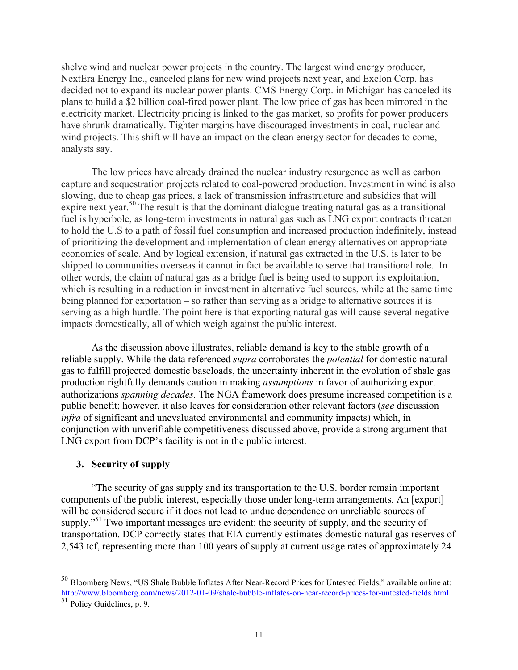shelve wind and nuclear power projects in the country. The largest wind energy producer, NextEra Energy Inc., canceled plans for new wind projects next year, and Exelon Corp. has decided not to expand its nuclear power plants. CMS Energy Corp. in Michigan has canceled its plans to build a \$2 billion coal-fired power plant. The low price of gas has been mirrored in the electricity market. Electricity pricing is linked to the gas market, so profits for power producers have shrunk dramatically. Tighter margins have discouraged investments in coal, nuclear and wind projects. This shift will have an impact on the clean energy sector for decades to come, analysts say.

The low prices have already drained the nuclear industry resurgence as well as carbon capture and sequestration projects related to coal-powered production. Investment in wind is also slowing, due to cheap gas prices, a lack of transmission infrastructure and subsidies that will expire next year.<sup>50</sup> The result is that the dominant dialogue treating natural gas as a transitional fuel is hyperbole, as long-term investments in natural gas such as LNG export contracts threaten to hold the U.S to a path of fossil fuel consumption and increased production indefinitely, instead of prioritizing the development and implementation of clean energy alternatives on appropriate economies of scale. And by logical extension, if natural gas extracted in the U.S. is later to be shipped to communities overseas it cannot in fact be available to serve that transitional role. In other words, the claim of natural gas as a bridge fuel is being used to support its exploitation, which is resulting in a reduction in investment in alternative fuel sources, while at the same time being planned for exportation – so rather than serving as a bridge to alternative sources it is serving as a high hurdle. The point here is that exporting natural gas will cause several negative impacts domestically, all of which weigh against the public interest.

As the discussion above illustrates, reliable demand is key to the stable growth of a reliable supply. While the data referenced *supra* corroborates the *potential* for domestic natural gas to fulfill projected domestic baseloads, the uncertainty inherent in the evolution of shale gas production rightfully demands caution in making *assumptions* in favor of authorizing export authorizations *spanning decades.* The NGA framework does presume increased competition is a public benefit; however, it also leaves for consideration other relevant factors (*see* discussion *infra* of significant and unevaluated environmental and community impacts) which, in conjunction with unverifiable competitiveness discussed above, provide a strong argument that LNG export from DCP's facility is not in the public interest.

#### **3. Security of supply**

"The security of gas supply and its transportation to the U.S. border remain important components of the public interest, especially those under long-term arrangements. An [export] will be considered secure if it does not lead to undue dependence on unreliable sources of supply."<sup>51</sup> Two important messages are evident: the security of supply, and the security of transportation. DCP correctly states that EIA currently estimates domestic natural gas reserves of 2,543 tcf, representing more than 100 years of supply at current usage rates of approximately 24

 <sup>50</sup> Bloomberg News, "US Shale Bubble Inflates After Near-Record Prices for Untested Fields," available online at: http://www.bloomberg.com/news/2012-01-09/shale-bubble-inflates-on-near-record-prices-for-untested-fields.html

<sup>51</sup> Policy Guidelines, p. 9.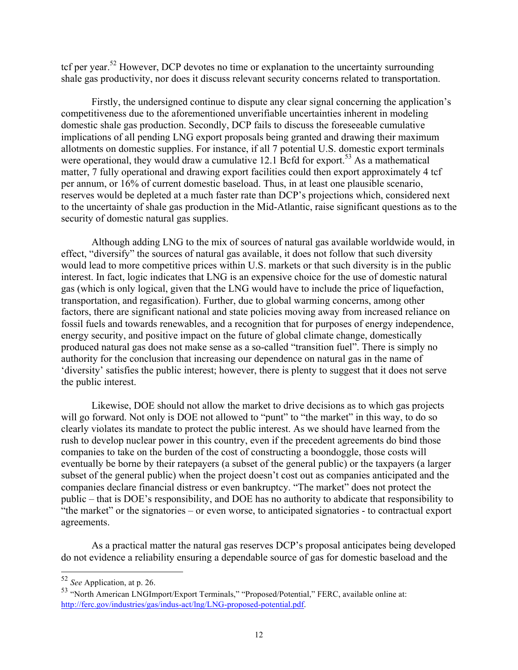tcf per year.<sup>52</sup> However, DCP devotes no time or explanation to the uncertainty surrounding shale gas productivity, nor does it discuss relevant security concerns related to transportation.

Firstly, the undersigned continue to dispute any clear signal concerning the application's competitiveness due to the aforementioned unverifiable uncertainties inherent in modeling domestic shale gas production. Secondly, DCP fails to discuss the foreseeable cumulative implications of all pending LNG export proposals being granted and drawing their maximum allotments on domestic supplies. For instance, if all 7 potential U.S. domestic export terminals were operational, they would draw a cumulative 12.1 Bcfd for export.<sup>53</sup> As a mathematical matter, 7 fully operational and drawing export facilities could then export approximately 4 tcf per annum, or 16% of current domestic baseload. Thus, in at least one plausible scenario, reserves would be depleted at a much faster rate than DCP's projections which, considered next to the uncertainty of shale gas production in the Mid-Atlantic, raise significant questions as to the security of domestic natural gas supplies.

Although adding LNG to the mix of sources of natural gas available worldwide would, in effect, "diversify" the sources of natural gas available, it does not follow that such diversity would lead to more competitive prices within U.S. markets or that such diversity is in the public interest. In fact, logic indicates that LNG is an expensive choice for the use of domestic natural gas (which is only logical, given that the LNG would have to include the price of liquefaction, transportation, and regasification). Further, due to global warming concerns, among other factors, there are significant national and state policies moving away from increased reliance on fossil fuels and towards renewables, and a recognition that for purposes of energy independence, energy security, and positive impact on the future of global climate change, domestically produced natural gas does not make sense as a so-called "transition fuel". There is simply no authority for the conclusion that increasing our dependence on natural gas in the name of 'diversity' satisfies the public interest; however, there is plenty to suggest that it does not serve the public interest.

Likewise, DOE should not allow the market to drive decisions as to which gas projects will go forward. Not only is DOE not allowed to "punt" to "the market" in this way, to do so clearly violates its mandate to protect the public interest. As we should have learned from the rush to develop nuclear power in this country, even if the precedent agreements do bind those companies to take on the burden of the cost of constructing a boondoggle, those costs will eventually be borne by their ratepayers (a subset of the general public) or the taxpayers (a larger subset of the general public) when the project doesn't cost out as companies anticipated and the companies declare financial distress or even bankruptcy. "The market" does not protect the public – that is DOE's responsibility, and DOE has no authority to abdicate that responsibility to "the market" or the signatories – or even worse, to anticipated signatories - to contractual export agreements.

As a practical matter the natural gas reserves DCP's proposal anticipates being developed do not evidence a reliability ensuring a dependable source of gas for domestic baseload and the

 <sup>52</sup> *See* Application, at p. 26.

<sup>53</sup> "North American LNGImport/Export Terminals," "Proposed/Potential," FERC, available online at: http://ferc.gov/industries/gas/indus-act/lng/LNG-proposed-potential.pdf.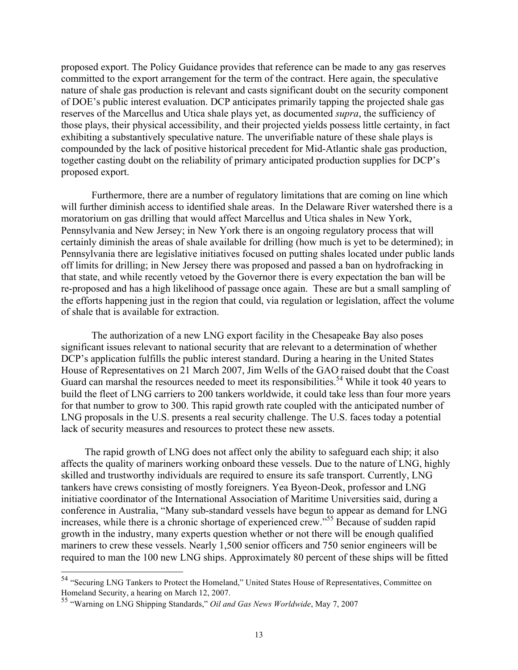proposed export. The Policy Guidance provides that reference can be made to any gas reserves committed to the export arrangement for the term of the contract. Here again, the speculative nature of shale gas production is relevant and casts significant doubt on the security component of DOE's public interest evaluation. DCP anticipates primarily tapping the projected shale gas reserves of the Marcellus and Utica shale plays yet, as documented *supra*, the sufficiency of those plays, their physical accessibility, and their projected yields possess little certainty, in fact exhibiting a substantively speculative nature. The unverifiable nature of these shale plays is compounded by the lack of positive historical precedent for Mid-Atlantic shale gas production, together casting doubt on the reliability of primary anticipated production supplies for DCP's proposed export.

Furthermore, there are a number of regulatory limitations that are coming on line which will further diminish access to identified shale areas. In the Delaware River watershed there is a moratorium on gas drilling that would affect Marcellus and Utica shales in New York, Pennsylvania and New Jersey; in New York there is an ongoing regulatory process that will certainly diminish the areas of shale available for drilling (how much is yet to be determined); in Pennsylvania there are legislative initiatives focused on putting shales located under public lands off limits for drilling; in New Jersey there was proposed and passed a ban on hydrofracking in that state, and while recently vetoed by the Governor there is every expectation the ban will be re-proposed and has a high likelihood of passage once again. These are but a small sampling of the efforts happening just in the region that could, via regulation or legislation, affect the volume of shale that is available for extraction.

The authorization of a new LNG export facility in the Chesapeake Bay also poses significant issues relevant to national security that are relevant to a determination of whether DCP's application fulfills the public interest standard. During a hearing in the United States House of Representatives on 21 March 2007, Jim Wells of the GAO raised doubt that the Coast Guard can marshal the resources needed to meet its responsibilities.<sup>54</sup> While it took 40 years to build the fleet of LNG carriers to 200 tankers worldwide, it could take less than four more years for that number to grow to 300. This rapid growth rate coupled with the anticipated number of LNG proposals in the U.S. presents a real security challenge. The U.S. faces today a potential lack of security measures and resources to protect these new assets.

The rapid growth of LNG does not affect only the ability to safeguard each ship; it also affects the quality of mariners working onboard these vessels. Due to the nature of LNG, highly skilled and trustworthy individuals are required to ensure its safe transport. Currently, LNG tankers have crews consisting of mostly foreigners. Yea Byeon-Deok, professor and LNG initiative coordinator of the International Association of Maritime Universities said, during a conference in Australia, "Many sub-standard vessels have begun to appear as demand for LNG increases, while there is a chronic shortage of experienced crew."55 Because of sudden rapid growth in the industry, many experts question whether or not there will be enough qualified mariners to crew these vessels. Nearly 1,500 senior officers and 750 senior engineers will be required to man the 100 new LNG ships. Approximately 80 percent of these ships will be fitted

 <sup>54</sup> "Securing LNG Tankers to Protect the Homeland," United States House of Representatives, Committee on Homeland Security, a hearing on March 12, 2007.

<sup>55</sup> "Warning on LNG Shipping Standards," *Oil and Gas News Worldwide*, May 7, 2007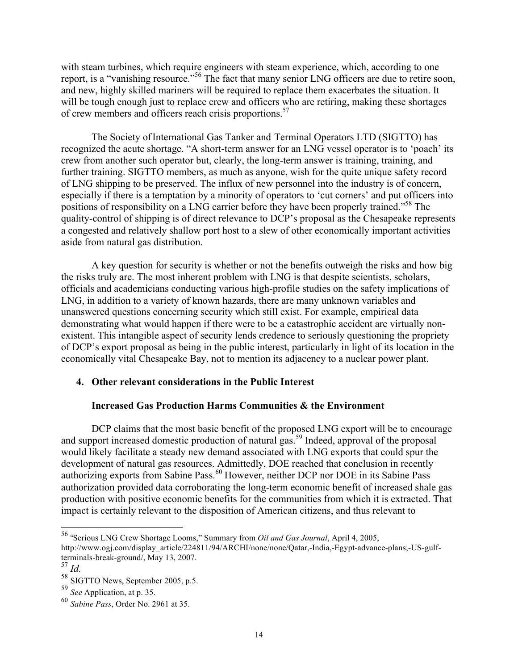with steam turbines, which require engineers with steam experience, which, according to one report, is a "vanishing resource."<sup>56</sup> The fact that many senior LNG officers are due to retire soon, and new, highly skilled mariners will be required to replace them exacerbates the situation. It will be tough enough just to replace crew and officers who are retiring, making these shortages of crew members and officers reach crisis proportions.<sup>57</sup>

The Society ofInternational Gas Tanker and Terminal Operators LTD (SIGTTO) has recognized the acute shortage. "A short-term answer for an LNG vessel operator is to 'poach' its crew from another such operator but, clearly, the long-term answer is training, training, and further training. SIGTTO members, as much as anyone, wish for the quite unique safety record of LNG shipping to be preserved. The influx of new personnel into the industry is of concern, especially if there is a temptation by a minority of operators to 'cut corners' and put officers into positions of responsibility on a LNG carrier before they have been properly trained."<sup>58</sup> The quality-control of shipping is of direct relevance to DCP's proposal as the Chesapeake represents a congested and relatively shallow port host to a slew of other economically important activities aside from natural gas distribution.

A key question for security is whether or not the benefits outweigh the risks and how big the risks truly are. The most inherent problem with LNG is that despite scientists, scholars, officials and academicians conducting various high-profile studies on the safety implications of LNG, in addition to a variety of known hazards, there are many unknown variables and unanswered questions concerning security which still exist. For example, empirical data demonstrating what would happen if there were to be a catastrophic accident are virtually nonexistent. This intangible aspect of security lends credence to seriously questioning the propriety of DCP's export proposal as being in the public interest, particularly in light of its location in the economically vital Chesapeake Bay, not to mention its adjacency to a nuclear power plant.

#### **4. Other relevant considerations in the Public Interest**

#### **Increased Gas Production Harms Communities & the Environment**

DCP claims that the most basic benefit of the proposed LNG export will be to encourage and support increased domestic production of natural gas.59 Indeed, approval of the proposal would likely facilitate a steady new demand associated with LNG exports that could spur the development of natural gas resources. Admittedly, DOE reached that conclusion in recently authorizing exports from Sabine Pass.<sup>60</sup> However, neither DCP nor DOE in its Sabine Pass authorization provided data corroborating the long-term economic benefit of increased shale gas production with positive economic benefits for the communities from which it is extracted. That impact is certainly relevant to the disposition of American citizens, and thus relevant to

 <sup>56</sup> "Serious LNG Crew Shortage Looms," Summary from *Oil and Gas Journal*, April 4, 2005,

http://www.ogj.com/display\_article/224811/94/ARCHI/none/none/Qatar,-India,-Egypt-advance-plans;-US-gulfterminals-break-ground/, May 13, 2007.

<sup>57</sup> *Id.*

<sup>58</sup> SIGTTO News, September 2005, p.5.

<sup>59</sup> *See* Application, at p. 35.

<sup>60</sup> *Sabine Pass*, Order No. 2961 at 35.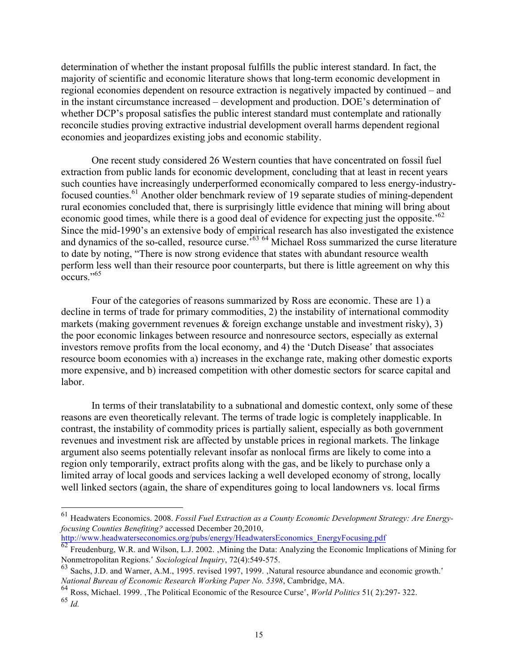determination of whether the instant proposal fulfills the public interest standard. In fact, the majority of scientific and economic literature shows that long-term economic development in regional economies dependent on resource extraction is negatively impacted by continued – and in the instant circumstance increased – development and production. DOE's determination of whether DCP's proposal satisfies the public interest standard must contemplate and rationally reconcile studies proving extractive industrial development overall harms dependent regional economies and jeopardizes existing jobs and economic stability.

One recent study considered 26 Western counties that have concentrated on fossil fuel extraction from public lands for economic development, concluding that at least in recent years such counties have increasingly underperformed economically compared to less energy-industryfocused counties.<sup>61</sup> Another older benchmark review of 19 separate studies of mining-dependent rural economies concluded that, there is surprisingly little evidence that mining will bring about economic good times, while there is a good deal of evidence for expecting just the opposite.<sup>'62</sup> Since the mid-1990's an extensive body of empirical research has also investigated the existence and dynamics of the so-called, resource curse.<sup> $363\,64$ </sup> Michael Ross summarized the curse literature to date by noting, "There is now strong evidence that states with abundant resource wealth perform less well than their resource poor counterparts, but there is little agreement on why this  $\frac{1}{\text{occurs}}$ .<sup>65</sup>

Four of the categories of reasons summarized by Ross are economic. These are 1) a decline in terms of trade for primary commodities, 2) the instability of international commodity markets (making government revenues & foreign exchange unstable and investment risky), 3) the poor economic linkages between resource and nonresource sectors, especially as external investors remove profits from the local economy, and 4) the 'Dutch Disease' that associates resource boom economies with a) increases in the exchange rate, making other domestic exports more expensive, and b) increased competition with other domestic sectors for scarce capital and labor.

In terms of their translatability to a subnational and domestic context, only some of these reasons are even theoretically relevant. The terms of trade logic is completely inapplicable. In contrast, the instability of commodity prices is partially salient, especially as both government revenues and investment risk are affected by unstable prices in regional markets. The linkage argument also seems potentially relevant insofar as nonlocal firms are likely to come into a region only temporarily, extract profits along with the gas, and be likely to purchase only a limited array of local goods and services lacking a well developed economy of strong, locally well linked sectors (again, the share of expenditures going to local landowners vs. local firms

http://www.headwaterseconomics.org/pubs/energy/HeadwatersEconomics\_EnergyFocusing.pdf

 <sup>61</sup> Headwaters Economics. 2008. *Fossil Fuel Extraction as a County Economic Development Strategy: Are Energyfocusing Counties Benefiting?* accessed December 20,2010,

Freudenburg, W.R. and Wilson, L.J. 2002. , Mining the Data: Analyzing the Economic Implications of Mining for Nonmetropolitan Regions.' *Sociological Inquiry*, 72(4):549-575.

<sup>63</sup> Sachs, J.D. and Warner, A.M., 1995. revised 1997, 1999. 'Natural resource abundance and economic growth.' *National Bureau of Economic Research Working Paper No. 5398*, Cambridge, MA.

<sup>64</sup> Ross, Michael. 1999. 'The Political Economic of the Resource Curse', *World Politics* 51( 2):297- 322. <sup>65</sup> *Id.*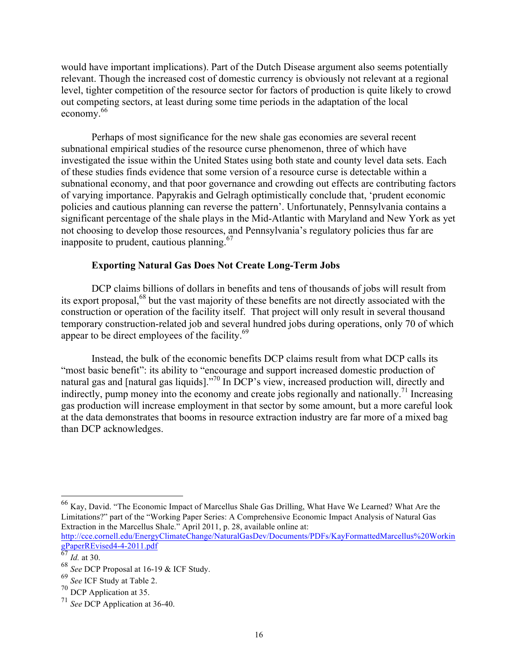would have important implications). Part of the Dutch Disease argument also seems potentially relevant. Though the increased cost of domestic currency is obviously not relevant at a regional level, tighter competition of the resource sector for factors of production is quite likely to crowd out competing sectors, at least during some time periods in the adaptation of the local economy.<sup>66</sup>

Perhaps of most significance for the new shale gas economies are several recent subnational empirical studies of the resource curse phenomenon, three of which have investigated the issue within the United States using both state and county level data sets. Each of these studies finds evidence that some version of a resource curse is detectable within a subnational economy, and that poor governance and crowding out effects are contributing factors of varying importance. Papyrakis and Gelragh optimistically conclude that, 'prudent economic policies and cautious planning can reverse the pattern'. Unfortunately, Pennsylvania contains a significant percentage of the shale plays in the Mid-Atlantic with Maryland and New York as yet not choosing to develop those resources, and Pennsylvania's regulatory policies thus far are inapposite to prudent, cautious planning. 67

## **Exporting Natural Gas Does Not Create Long-Term Jobs**

DCP claims billions of dollars in benefits and tens of thousands of jobs will result from its export proposal,<sup>68</sup> but the vast majority of these benefits are not directly associated with the construction or operation of the facility itself. That project will only result in several thousand temporary construction-related job and several hundred jobs during operations, only 70 of which appear to be direct employees of the facility.<sup>69</sup>

Instead, the bulk of the economic benefits DCP claims result from what DCP calls its "most basic benefit": its ability to "encourage and support increased domestic production of natural gas and [natural gas liquids]."<sup>70</sup> In DCP's view, increased production will, directly and indirectly, pump money into the economy and create jobs regionally and nationally.<sup>71</sup> Increasing gas production will increase employment in that sector by some amount, but a more careful look at the data demonstrates that booms in resource extraction industry are far more of a mixed bag than DCP acknowledges.

 <sup>66</sup> Kay, David. "The Economic Impact of Marcellus Shale Gas Drilling, What Have We Learned? What Are the Limitations?" part of the "Working Paper Series: A Comprehensive Economic Impact Analysis of Natural Gas Extraction in the Marcellus Shale." April 2011, p. 28, available online at:

http://cce.cornell.edu/EnergyClimateChange/NaturalGasDev/Documents/PDFs/KayFormattedMarcellus%20Workin gPaperREvised4-4-2011.pdf

 $rac{67}{67}$  *Id.* at 30.

<sup>68</sup> *See* DCP Proposal at 16-19 & ICF Study.

<sup>&</sup>lt;sup>70</sup> DCP Application at 35.<br><sup>71</sup> *See* DCP Application at 36-40.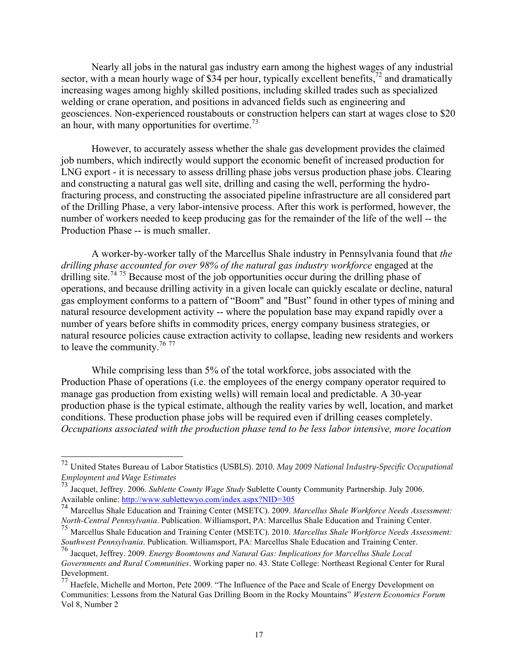Nearly all jobs in the natural gas industry earn among the highest wages of any industrial sector, with a mean hourly wage of \$34 per hour, typically excellent benefits, $72$  and dramatically increasing wages among highly skilled positions, including skilled trades such as specialized welding or crane operation, and positions in advanced fields such as engineering and geosciences. Non-experienced roustabouts or construction helpers can start at wages close to \$20 an hour, with many opportunities for overtime. $73$ 

However, to accurately assess whether the shale gas development provides the claimed job numbers, which indirectly would support the economic benefit of increased production for LNG export - it is necessary to assess drilling phase jobs versus production phase jobs. Clearing and constructing a natural gas well site, drilling and casing the well, performing the hydrofracturing process, and constructing the associated pipeline infrastructure are all considered part of the Drilling Phase, a very labor-intensive process. After this work is performed, however, the number of workers needed to keep producing gas for the remainder of the life of the well -- the Production Phase -- is much smaller.

A worker-by-worker tally of the Marcellus Shale industry in Pennsylvania found that *the drilling phase accounted for over 98% of the natural gas industry workforce* engaged at the drilling site.<sup>74 75</sup> Because most of the job opportunities occur during the drilling phase of operations, and because drilling activity in a given locale can quickly escalate or decline, natural gas employment conforms to a pattern of "Boom" and "Bust" found in other types of mining and natural resource development activity -- where the population base may expand rapidly over a number of years before shifts in commodity prices, energy company business strategies, or natural resource policies cause extraction activity to collapse, leading new residents and workers to leave the community.<sup>76 77</sup>

While comprising less than 5% of the total workforce, jobs associated with the Production Phase of operations (i.e. the employees of the energy company operator required to manage gas production from existing wells) will remain local and predictable. A 30-year production phase is the typical estimate, although the reality varies by well, location, and market conditions. These production phase jobs will be required even if drilling ceases completely. *Occupations associated with the production phase tend to be less labor intensive, more location* 

 <sup>72</sup> United States Bureau of Labor Statistics (USBLS). 2010. *May 2009 National Industry-Specific Occupational Employment and Wage Estimates*

<sup>73</sup> Jacquet, Jeffrey. 2006. *Sublette County Wage Study* Sublette County Community Partnership. July 2006. Available online: http://www.sublettewyo.com/index.aspx?NID=305

<sup>74</sup> Marcellus Shale Education and Training Center (MSETC). 2009. *Marcellus Shale Workforce Needs Assessment: North-Central Pennsylvania*. Publication. Williamsport, PA: Marcellus Shale Education and Training Center.

<sup>75</sup> Marcellus Shale Education and Training Center (MSETC). 2010. *Marcellus Shale Workforce Needs Assessment: Southwest Pennsylvania*. Publication. Williamsport, PA: Marcellus Shale Education and Training Center.

<sup>76</sup> Jacquet, Jeffrey. 2009. *Energy Boomtowns and Natural Gas: Implications for Marcellus Shale Local Governments and Rural Communities*. Working paper no. 43. State College: Northeast Regional Center for Rural Development.

<sup>&</sup>lt;sup>77</sup> Haefele, Michelle and Morton, Pete 2009. "The Influence of the Pace and Scale of Energy Development on Communities: Lessons from the Natural Gas Drilling Boom in the Rocky Mountains" *Western Economics Forum*  Vol 8, Number 2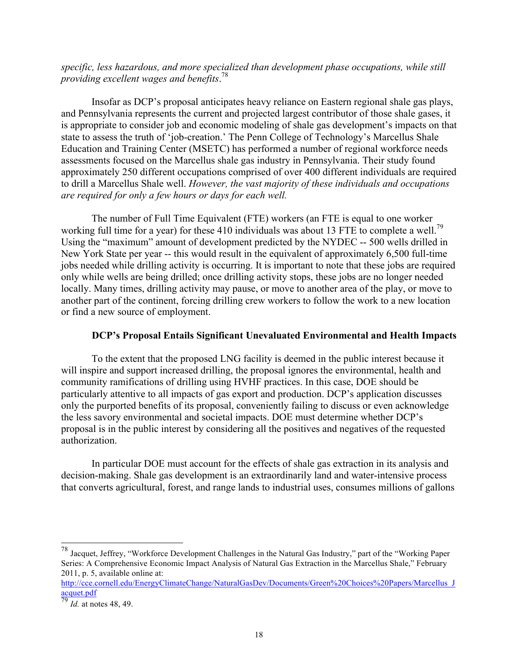*specific, less hazardous, and more specialized than development phase occupations, while still providing excellent wages and benefits*. 78

Insofar as DCP's proposal anticipates heavy reliance on Eastern regional shale gas plays, and Pennsylvania represents the current and projected largest contributor of those shale gases, it is appropriate to consider job and economic modeling of shale gas development's impacts on that state to assess the truth of 'job-creation.' The Penn College of Technology's Marcellus Shale Education and Training Center (MSETC) has performed a number of regional workforce needs assessments focused on the Marcellus shale gas industry in Pennsylvania. Their study found approximately 250 different occupations comprised of over 400 different individuals are required to drill a Marcellus Shale well. *However, the vast majority of these individuals and occupations are required for only a few hours or days for each well.* 

The number of Full Time Equivalent (FTE) workers (an FTE is equal to one worker working full time for a year) for these 410 individuals was about 13 FTE to complete a well.<sup>79</sup> Using the "maximum" amount of development predicted by the NYDEC -- 500 wells drilled in New York State per year -- this would result in the equivalent of approximately 6,500 full-time jobs needed while drilling activity is occurring. It is important to note that these jobs are required only while wells are being drilled; once drilling activity stops, these jobs are no longer needed locally. Many times, drilling activity may pause, or move to another area of the play, or move to another part of the continent, forcing drilling crew workers to follow the work to a new location or find a new source of employment.

### **DCP's Proposal Entails Significant Unevaluated Environmental and Health Impacts**

To the extent that the proposed LNG facility is deemed in the public interest because it will inspire and support increased drilling, the proposal ignores the environmental, health and community ramifications of drilling using HVHF practices. In this case, DOE should be particularly attentive to all impacts of gas export and production. DCP's application discusses only the purported benefits of its proposal, conveniently failing to discuss or even acknowledge the less savory environmental and societal impacts. DOE must determine whether DCP's proposal is in the public interest by considering all the positives and negatives of the requested authorization.

In particular DOE must account for the effects of shale gas extraction in its analysis and decision-making. Shale gas development is an extraordinarily land and water-intensive process that converts agricultural, forest, and range lands to industrial uses, consumes millions of gallons

 <sup>78</sup> Jacquet, Jeffrey, "Workforce Development Challenges in the Natural Gas Industry," part of the "Working Paper Series: A Comprehensive Economic Impact Analysis of Natural Gas Extraction in the Marcellus Shale," February 2011, p. 5, available online at:

http://cce.cornell.edu/EnergyClimateChange/NaturalGasDev/Documents/Green%20Choices%20Papers/Marcellus\_J acquet.pdf

*Id.* at notes 48, 49.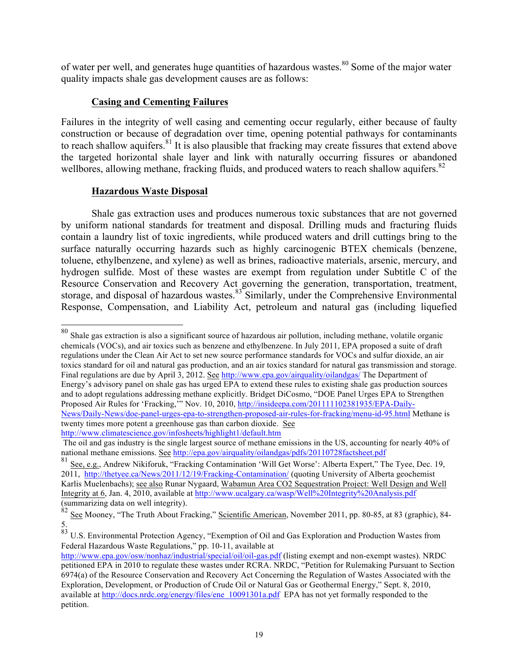of water per well, and generates huge quantities of hazardous wastes.<sup>80</sup> Some of the major water quality impacts shale gas development causes are as follows:

# **Casing and Cementing Failures**

Failures in the integrity of well casing and cementing occur regularly, either because of faulty construction or because of degradation over time, opening potential pathways for contaminants to reach shallow aquifers.<sup>81</sup> It is also plausible that fracking may create fissures that extend above the targeted horizontal shale layer and link with naturally occurring fissures or abandoned wellbores, allowing methane, fracking fluids, and produced waters to reach shallow aquifers.<sup>82</sup>

# **Hazardous Waste Disposal**

Shale gas extraction uses and produces numerous toxic substances that are not governed by uniform national standards for treatment and disposal. Drilling muds and fracturing fluids contain a laundry list of toxic ingredients, while produced waters and drill cuttings bring to the surface naturally occurring hazards such as highly carcinogenic BTEX chemicals (benzene, toluene, ethylbenzene, and xylene) as well as brines, radioactive materials, arsenic, mercury, and hydrogen sulfide. Most of these wastes are exempt from regulation under Subtitle C of the Resource Conservation and Recovery Act governing the generation, transportation, treatment, storage, and disposal of hazardous wastes.<sup>83</sup> Similarly, under the Comprehensive Environmental Response, Compensation, and Liability Act, petroleum and natural gas (including liquefied

 <sup>80</sup> Shale gas extraction is also a significant source of hazardous air pollution, including methane, volatile organic chemicals (VOCs), and air toxics such as benzene and ethylbenzene. In July 2011, EPA proposed a suite of draft regulations under the Clean Air Act to set new source performance standards for VOCs and sulfur dioxide, an air toxics standard for oil and natural gas production, and an air toxics standard for natural gas transmission and storage. Final regulations are due by April 3, 2012. See http://www.epa.gov/airquality/oilandgas/ The Department of Energy's advisory panel on shale gas has urged EPA to extend these rules to existing shale gas production sources and to adopt regulations addressing methane explicitly. Bridget DiCosmo, "DOE Panel Urges EPA to Strengthen Proposed Air Rules for 'Fracking,'" Nov. 10, 2010, http://insideepa.com/201111102381935/EPA-Daily-News/Daily-News/doe-panel-urges-epa-to-strengthen-proposed-air-rules-for-fracking/menu-id-95.html Methane is twenty times more potent a greenhouse gas than carbon dioxide. See http://www.climatescience.gov/infosheets/highlight1/default.htm

The oil and gas industry is the single largest source of methane emissions in the US, accounting for nearly 40% of national methane emissions. See http://epa.gov/airquality/oilandgas/pdfs/20110728factsheet.pdf

<sup>81</sup> See, e.g., Andrew Nikiforuk, "Fracking Contamination 'Will Get Worse': Alberta Expert," The Tyee, Dec. 19, 2011, http://thetyee.ca/News/2011/12/19/Fracking-Contamination/ (quoting University of Alberta geochemist Karlis Muelenbachs); see also Runar Nygaard, Wabamun Area CO2 Sequestration Project: Well Design and Well Integrity at 6, Jan. 4, 2010, available at http://www.ucalgary.ca/wasp/Well%20Integrity%20Analysis.pdf (summarizing data on well integrity).

 $82$  See Mooney, "The Truth About Fracking," Scientific American, November 2011, pp. 80-85, at 83 (graphic), 84-5.

<sup>&</sup>lt;sup>83</sup> U.S. Environmental Protection Agency, "Exemption of Oil and Gas Exploration and Production Wastes from Federal Hazardous Waste Regulations," pp. 10-11, available at

http://www.epa.gov/osw/nonhaz/industrial/special/oil/oil-gas.pdf (listing exempt and non-exempt wastes). NRDC petitioned EPA in 2010 to regulate these wastes under RCRA. NRDC, "Petition for Rulemaking Pursuant to Section 6974(a) of the Resource Conservation and Recovery Act Concerning the Regulation of Wastes Associated with the Exploration, Development, or Production of Crude Oil or Natural Gas or Geothermal Energy," Sept. 8, 2010, available at http://docs.nrdc.org/energy/files/ene\_10091301a.pdf EPA has not yet formally responded to the petition.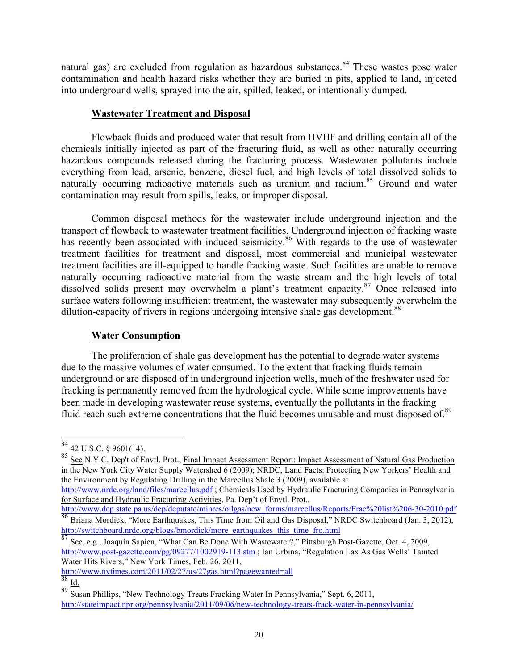natural gas) are excluded from regulation as hazardous substances.<sup>84</sup> These wastes pose water contamination and health hazard risks whether they are buried in pits, applied to land, injected into underground wells, sprayed into the air, spilled, leaked, or intentionally dumped.

### **Wastewater Treatment and Disposal**

Flowback fluids and produced water that result from HVHF and drilling contain all of the chemicals initially injected as part of the fracturing fluid, as well as other naturally occurring hazardous compounds released during the fracturing process. Wastewater pollutants include everything from lead, arsenic, benzene, diesel fuel, and high levels of total dissolved solids to naturally occurring radioactive materials such as uranium and radium.<sup>85</sup> Ground and water contamination may result from spills, leaks, or improper disposal.

Common disposal methods for the wastewater include underground injection and the transport of flowback to wastewater treatment facilities. Underground injection of fracking waste has recently been associated with induced seismicity.<sup>86</sup> With regards to the use of wastewater treatment facilities for treatment and disposal, most commercial and municipal wastewater treatment facilities are ill-equipped to handle fracking waste. Such facilities are unable to remove naturally occurring radioactive material from the waste stream and the high levels of total dissolved solids present may overwhelm a plant's treatment capacity.<sup>87</sup> Once released into surface waters following insufficient treatment, the wastewater may subsequently overwhelm the dilution-capacity of rivers in regions undergoing intensive shale gas development.<sup>88</sup>

## **Water Consumption**

The proliferation of shale gas development has the potential to degrade water systems due to the massive volumes of water consumed. To the extent that fracking fluids remain underground or are disposed of in underground injection wells, much of the freshwater used for fracking is permanently removed from the hydrological cycle. While some improvements have been made in developing wastewater reuse systems, eventually the pollutants in the fracking fluid reach such extreme concentrations that the fluid becomes unusable and must disposed of.<sup>89</sup>

 $84$  42 U.S.C. § 9601(14).

<sup>85</sup> See N.Y.C. Dep't of Envtl. Prot., Final Impact Assessment Report: Impact Assessment of Natural Gas Production in the New York City Water Supply Watershed 6 (2009); NRDC, Land Facts: Protecting New Yorkers' Health and the Environment by Regulating Drilling in the Marcellus Shale 3 (2009), available at

http://www.nrdc.org/land/files/marcellus.pdf ; Chemicals Used by Hydraulic Fracturing Companies in Pennsylvania for Surface and Hydraulic Fracturing Activities, Pa. Dep't of Envtl. Prot.,

http://www.dep.state.pa.us/dep/deputate/minres/oilgas/new\_forms/marcellus/Reports/Frac%20list%206-30-2010.pdf 86 Briana Mordick, "More Earthquakes, This Time from Oil and Gas Disposal," NRDC Switchboard (Jan. 3, 2012), http://switchboard.nrdc.org/blogs/bmordick/more\_earthquakes\_this\_time\_fro.html

<sup>87</sup> See, e.g., Joaquin Sapien, "What Can Be Done With Wastewater?," Pittsburgh Post-Gazette, Oct. 4, 2009, http://www.post-gazette.com/pg/09277/1002919-113.stm ; Ian Urbina, "Regulation Lax As Gas Wells' Tainted Water Hits Rivers," New York Times, Feb. 26, 2011,

http://www.nytimes.com/2011/02/27/us/27gas.html?pagewanted=all  $88 \over$ Id.

<sup>89</sup> Susan Phillips, "New Technology Treats Fracking Water In Pennsylvania," Sept. 6, 2011, http://stateimpact.npr.org/pennsylvania/2011/09/06/new-technology-treats-frack-water-in-pennsylvania/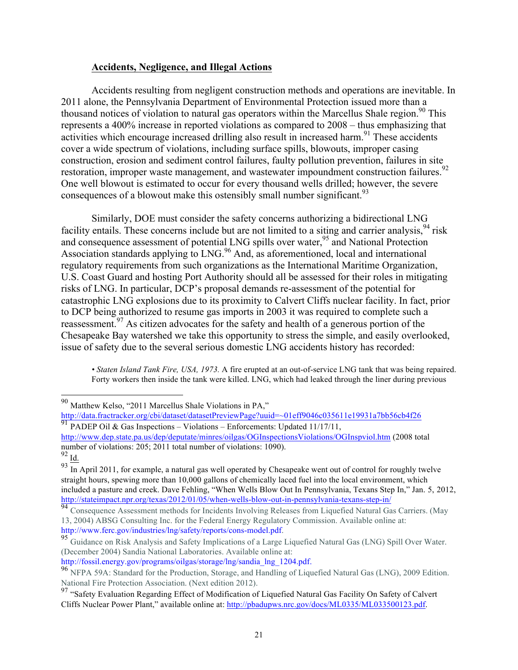#### **Accidents, Negligence, and Illegal Actions**

Accidents resulting from negligent construction methods and operations are inevitable. In 2011 alone, the Pennsylvania Department of Environmental Protection issued more than a thousand notices of violation to natural gas operators within the Marcellus Shale region.<sup>90</sup> This represents a 400% increase in reported violations as compared to 2008 – thus emphasizing that activities which encourage increased drilling also result in increased harm.<sup>91</sup> These accidents cover a wide spectrum of violations, including surface spills, blowouts, improper casing construction, erosion and sediment control failures, faulty pollution prevention, failures in site restoration, improper waste management, and wastewater impoundment construction failures.<sup>92</sup> One well blowout is estimated to occur for every thousand wells drilled; however, the severe consequences of a blowout make this ostensibly small number significant.<sup>93</sup>

Similarly, DOE must consider the safety concerns authorizing a bidirectional LNG facility entails. These concerns include but are not limited to a siting and carrier analysis,  $94$  risk and consequence assessment of potential LNG spills over water,<sup>95</sup> and National Protection Association standards applying to LNG.<sup>96</sup> And, as aforementioned, local and international regulatory requirements from such organizations as the International Maritime Organization, U.S. Coast Guard and hosting Port Authority should all be assessed for their roles in mitigating risks of LNG. In particular, DCP's proposal demands re-assessment of the potential for catastrophic LNG explosions due to its proximity to Calvert Cliffs nuclear facility. In fact, prior to DCP being authorized to resume gas imports in 2003 it was required to complete such a reassessment.<sup>97</sup> As citizen advocates for the safety and health of a generous portion of the Chesapeake Bay watershed we take this opportunity to stress the simple, and easily overlooked, issue of safety due to the several serious domestic LNG accidents history has recorded:

*• Staten Island Tank Fire, USA, 1973.* A fire erupted at an out-of-service LNG tank that was being repaired. Forty workers then inside the tank were killed. LNG, which had leaked through the liner during previous

http://data.fractracker.org/cbi/dataset/datasetPreviewPage?uuid=~01eff9046c035611e19931a7bb56cb4f26  $\frac{91}{91}$  PADEP Oil & Gas Inspections – Violations – Enforcements: Updated 11/17/11,

http://www.dep.state.pa.us/dep/deputate/minres/oilgas/OGInspectionsViolations/OGInspviol.htm (2008 total number of violations: 205; 2011 total number of violations: 1090).

 $^{93}$  In April 2011, for example, a natural gas well operated by Chesapeake went out of control for roughly twelve straight hours, spewing more than 10,000 gallons of chemically laced fuel into the local environment, which included a pasture and creek. Dave Fehling, "When Wells Blow Out In Pennsylvania, Texans Step In," Jan. 5, 2012, http://stateimpact.npr.org/texas/2012/01/05/when-wells-blow-out-in-pennsylvania-texans-step-in/

<sup>95</sup> Guidance on Risk Analysis and Safety Implications of a Large Liquefied Natural Gas (LNG) Spill Over Water. (December 2004) Sandia National Laboratories. Available online at:

 <sup>90</sup> Matthew Kelso, "2011 Marcellus Shale Violations in PA,"

 $92$   $\underline{\text{Id}}$ .

<sup>&</sup>lt;sup>94</sup> Consequence Assessment methods for Incidents Involving Releases from Liquefied Natural Gas Carriers. (May 13, 2004) ABSG Consulting Inc. for the Federal Energy Regulatory Commission. Available online at:<br>http://www.ferc.gov/industries/lng/safety/reports/cons-model.pdf.

http://fossil.energy.gov/programs/oilgas/storage/lng/sandia\_lng\_1204.pdf.<br><sup>96</sup> NFPA 59A: Standard for the Production, Storage, and Handling of Liquefied Natural Gas (LNG), 2009 Edition.<br>National Fire Protection Association

<sup>&</sup>lt;sup>97</sup> "Safety Evaluation Regarding Effect of Modification of Liquefied Natural Gas Facility On Safety of Calvert Cliffs Nuclear Power Plant," available online at: http://pbadupws.nrc.gov/docs/ML0335/ML033500123.pdf.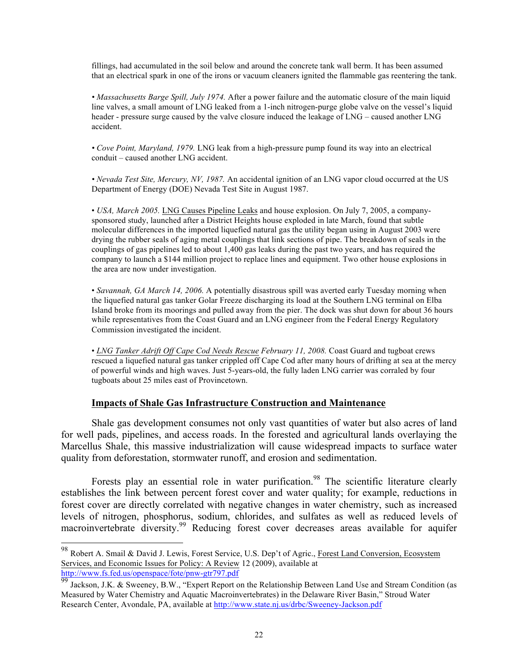fillings, had accumulated in the soil below and around the concrete tank wall berm. It has been assumed that an electrical spark in one of the irons or vacuum cleaners ignited the flammable gas reentering the tank.

*• Massachusetts Barge Spill, July 1974.* After a power failure and the automatic closure of the main liquid line valves, a small amount of LNG leaked from a 1-inch nitrogen-purge globe valve on the vessel's liquid header - pressure surge caused by the valve closure induced the leakage of LNG – caused another LNG accident.

*• Cove Point, Maryland, 1979.* LNG leak from a high-pressure pump found its way into an electrical conduit – caused another LNG accident.

*• Nevada Test Site, Mercury, NV, 1987.* An accidental ignition of an LNG vapor cloud occurred at the US Department of Energy (DOE) Nevada Test Site in August 1987.

• *USA, March 2005.* LNG Causes Pipeline Leaks and house explosion. On July 7, 2005, a companysponsored study, launched after a District Heights house exploded in late March, found that subtle molecular differences in the imported liquefied natural gas the utility began using in August 2003 were drying the rubber seals of aging metal couplings that link sections of pipe. The breakdown of seals in the couplings of gas pipelines led to about 1,400 gas leaks during the past two years, and has required the company to launch a \$144 million project to replace lines and equipment. Two other house explosions in the area are now under investigation.

• *Savannah, GA March 14, 2006.* A potentially disastrous spill was averted early Tuesday morning when the liquefied natural gas tanker Golar Freeze discharging its load at the Southern LNG terminal on Elba Island broke from its moorings and pulled away from the pier. The dock was shut down for about 36 hours while representatives from the Coast Guard and an LNG engineer from the Federal Energy Regulatory Commission investigated the incident.

• *LNG Tanker Adrift Off Cape Cod Needs Rescue February 11, 2008.* Coast Guard and tugboat crews rescued a liquefied natural gas tanker crippled off Cape Cod after many hours of drifting at sea at the mercy of powerful winds and high waves. Just 5-years-old, the fully laden LNG carrier was corraled by four tugboats about 25 miles east of Provincetown.

#### **Impacts of Shale Gas Infrastructure Construction and Maintenance**

Shale gas development consumes not only vast quantities of water but also acres of land for well pads, pipelines, and access roads. In the forested and agricultural lands overlaying the Marcellus Shale, this massive industrialization will cause widespread impacts to surface water quality from deforestation, stormwater runoff, and erosion and sedimentation.

Forests play an essential role in water purification.<sup>98</sup> The scientific literature clearly establishes the link between percent forest cover and water quality; for example, reductions in forest cover are directly correlated with negative changes in water chemistry, such as increased levels of nitrogen, phosphorus, sodium, chlorides, and sulfates as well as reduced levels of macroinvertebrate diversity.<sup>99</sup> Reducing forest cover decreases areas available for aquifer

<sup>98</sup> Robert A. Smail & David J. Lewis, Forest Service, U.S. Dep't of Agric., Forest Land Conversion, Ecosystem Services, and Economic Issues for Policy: A Review 12 (2009), available at http://www.fs.fed.us/openspace/fote/pnw-gtr797.pdf

<sup>99</sup> Jackson, J.K. & Sweeney, B.W., "Expert Report on the Relationship Between Land Use and Stream Condition (as Measured by Water Chemistry and Aquatic Macroinvertebrates) in the Delaware River Basin," Stroud Water Research Center, Avondale, PA, available at http://www.state.nj.us/drbc/Sweeney-Jackson.pdf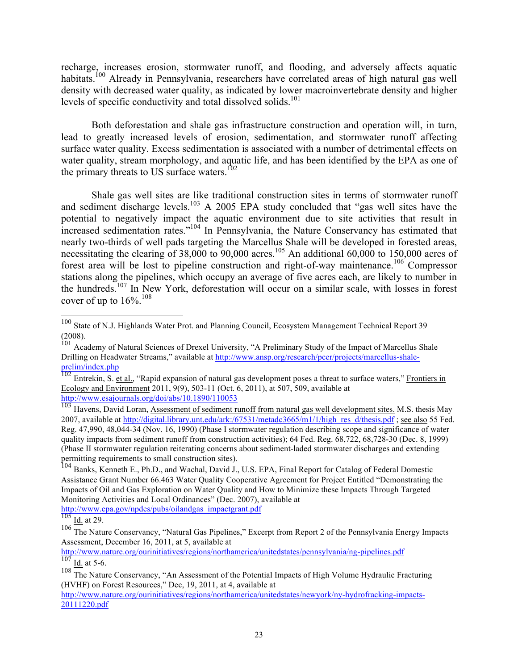recharge, increases erosion, stormwater runoff, and flooding, and adversely affects aquatic habitats.<sup>100</sup> Already in Pennsylvania, researchers have correlated areas of high natural gas well density with decreased water quality, as indicated by lower macroinvertebrate density and higher levels of specific conductivity and total dissolved solids.<sup>101</sup>

Both deforestation and shale gas infrastructure construction and operation will, in turn, lead to greatly increased levels of erosion, sedimentation, and stormwater runoff affecting surface water quality. Excess sedimentation is associated with a number of detrimental effects on water quality, stream morphology, and aquatic life, and has been identified by the EPA as one of the primary threats to US surface waters.<sup>102</sup>

Shale gas well sites are like traditional construction sites in terms of stormwater runoff and sediment discharge levels.<sup>103</sup> A 2005 EPA study concluded that "gas well sites have the potential to negatively impact the aquatic environment due to site activities that result in increased sedimentation rates."104 In Pennsylvania, the Nature Conservancy has estimated that nearly two-thirds of well pads targeting the Marcellus Shale will be developed in forested areas, necessitating the clearing of 38,000 to 90,000 acres.<sup>105</sup> An additional 60,000 to 150,000 acres of forest area will be lost to pipeline construction and right-of-way maintenance.<sup>106</sup> Compressor stations along the pipelines, which occupy an average of five acres each, are likely to number in the hundreds.107 In New York, deforestation will occur on a similar scale, with losses in forest cover of up to  $16\%$ .<sup>108</sup>

http://www.epa.gov/npdes/pubs/oilandgas\_impactgrant.pdf<br>105 x x = 0.0

http://www.nature.org/ourinitiatives/regions/northamerica/unitedstates/pennsylvania/ng-pipelines.pdf  $\frac{107}{107}$  <u>Id.</u> at 5-6.

http://www.nature.org/ourinitiatives/regions/northamerica/unitedstates/newyork/ny-hydrofracking-impacts-20111220.pdf

 <sup>100</sup> State of N.J. Highlands Water Prot. and Planning Council, Ecosystem Management Technical Report 39 (2008).

<sup>&</sup>lt;sup>101</sup> Academy of Natural Sciences of Drexel University, "A Preliminary Study of the Impact of Marcellus Shale Drilling on Headwater Streams," available at http://www.ansp.org/research/pcer/projects/marcellus-shale- $\frac{\text{prelim/index.php}}{102 \text{Ertr } \text{lebin}}$ 

<sup>102</sup> Entrekin, S. et al., "Rapid expansion of natural gas development poses a threat to surface waters," Frontiers in Ecology and Environment 2011, 9(9), 503-11 (Oct. 6, 2011), at 507, 509, available at http://www.esajournals.org/doi/abs/10.1890/110053<br>103 Havens, David Large, Agree of Carl 2

Havens, David Loran, Assessment of sediment runoff from natural gas well development sites. M.S. thesis May 2007, available at http://digital.library.unt.edu/ark:/67531/metadc3665/m1/1/high\_res\_d/thesis.pdf ; see also 55 Fed. Reg. 47,990, 48,044-34 (Nov. 16, 1990) (Phase I stormwater regulation describing scope and significance of water quality impacts from sediment runoff from construction activities); 64 Fed. Reg. 68,722, 68,728-30 (Dec. 8, 1999) (Phase II stormwater regulation reiterating concerns about sediment-laded stormwater discharges and extending permitting requirements to small construction sites).

<sup>104</sup> Banks, Kenneth E., Ph.D., and Wachal, David J., U.S. EPA, Final Report for Catalog of Federal Domestic Assistance Grant Number 66.463 Water Quality Cooperative Agreement for Project Entitled "Demonstrating the Impacts of Oil and Gas Exploration on Water Quality and How to Minimize these Impacts Through Targeted Monitoring Activities and Local Ordinances" (Dec. 2007), available at

Id. at 29.

<sup>106</sup> The Nature Conservancy, "Natural Gas Pipelines," Excerpt from Report 2 of the Pennsylvania Energy Impacts Assessment, December 16, 2011, at 5, available at

<sup>&</sup>lt;sup>108</sup> The Nature Conservancy, "An Assessment of the Potential Impacts of High Volume Hydraulic Fracturing (HVHF) on Forest Resources," Dec, 19, 2011, at 4, available at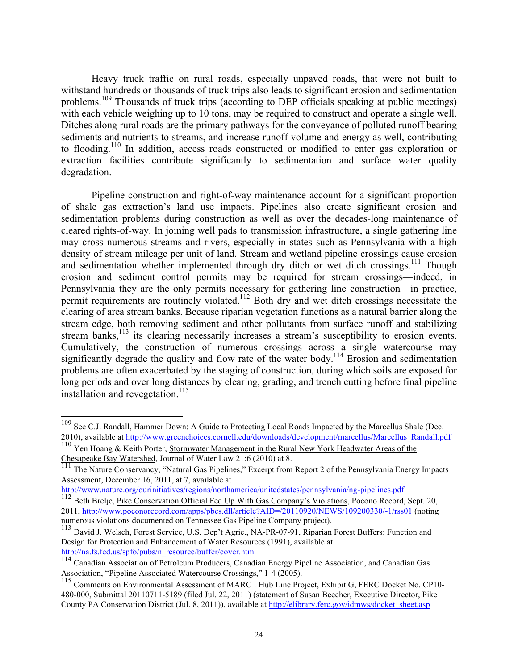Heavy truck traffic on rural roads, especially unpaved roads, that were not built to withstand hundreds or thousands of truck trips also leads to significant erosion and sedimentation problems.<sup>109</sup> Thousands of truck trips (according to DEP officials speaking at public meetings) with each vehicle weighing up to 10 tons, may be required to construct and operate a single well. Ditches along rural roads are the primary pathways for the conveyance of polluted runoff bearing sediments and nutrients to streams, and increase runoff volume and energy as well, contributing to flooding.<sup>110</sup> In addition, access roads constructed or modified to enter gas exploration or extraction facilities contribute significantly to sedimentation and surface water quality degradation.

Pipeline construction and right-of-way maintenance account for a significant proportion of shale gas extraction's land use impacts. Pipelines also create significant erosion and sedimentation problems during construction as well as over the decades-long maintenance of cleared rights-of-way. In joining well pads to transmission infrastructure, a single gathering line may cross numerous streams and rivers, especially in states such as Pennsylvania with a high density of stream mileage per unit of land. Stream and wetland pipeline crossings cause erosion and sedimentation whether implemented through dry ditch or wet ditch crossings.<sup>111</sup> Though erosion and sediment control permits may be required for stream crossings—indeed, in Pennsylvania they are the only permits necessary for gathering line construction—in practice, permit requirements are routinely violated.<sup>112</sup> Both dry and wet ditch crossings necessitate the clearing of area stream banks. Because riparian vegetation functions as a natural barrier along the stream edge, both removing sediment and other pollutants from surface runoff and stabilizing stream banks,<sup>113</sup> its clearing necessarily increases a stream's susceptibility to erosion events. Cumulatively, the construction of numerous crossings across a single watercourse may significantly degrade the quality and flow rate of the water body.<sup>114</sup> Erosion and sedimentation problems are often exacerbated by the staging of construction, during which soils are exposed for long periods and over long distances by clearing, grading, and trench cutting before final pipeline installation and revegetation.<sup>115</sup>

<sup>&</sup>lt;sup>109</sup> See C.J. Randall, Hammer Down: A Guide to Protecting Local Roads Impacted by the Marcellus Shale (Dec. 2010), available at http://www.greenchoices.cornell.edu/downloads/development/marcellus/Marcellus\_Randall.pdf

<sup>110</sup> Yen Hoang & Keith Porter, Stormwater Management in the Rural New York Headwater Areas of the Chesapeake Bay Watershed, Journal of Water Law 21:6 (2010) at 8.

<sup>&</sup>lt;sup>111</sup> The Nature Conservancy, "Natural Gas Pipelines," Excerpt from Report 2 of the Pennsylvania Energy Impacts Assessment, December 16, 2011, at 7, available at

http://www.nature.org/ourinitiatives/regions/northamerica/unitedstates/pennsylvania/ng-pipelines.pdf

<sup>&</sup>lt;sup>112</sup> Beth Brelje, Pike Conservation Official Fed Up With Gas Company's Violations, Pocono Record, Sept. 20, 2011, http://www.poconorecord.com/apps/pbcs.dll/article?AID=/20110920/NEWS/109200330/-1/rss01 (noting<br>numerous violations documented on Tennessee Gas Pipeline Company project).

<sup>&</sup>lt;sup>113</sup> David J. Welsch, Forest Service, U.S. Dep't Agric., NA-PR-07-91, Riparian Forest Buffers: Function and Design for Protection and Enhancement of Water Resources (1991), available at http://na.fs.fed.us/spfo/pubs/n\_resource/buffer/cover.htm

<sup>114</sup> Canadian Association of Petroleum Producers, Canadian Energy Pipeline Association, and Canadian Gas Association, "Pipeline Associated Watercourse Crossings," 1-4 (2005).

<sup>115</sup> Comments on Environmental Assessment of MARC I Hub Line Project, Exhibit G, FERC Docket No. CP10-480-000, Submittal 20110711-5189 (filed Jul. 22, 2011) (statement of Susan Beecher, Executive Director, Pike County PA Conservation District (Jul. 8, 2011)), available at http://elibrary.ferc.gov/idmws/docket\_sheet.asp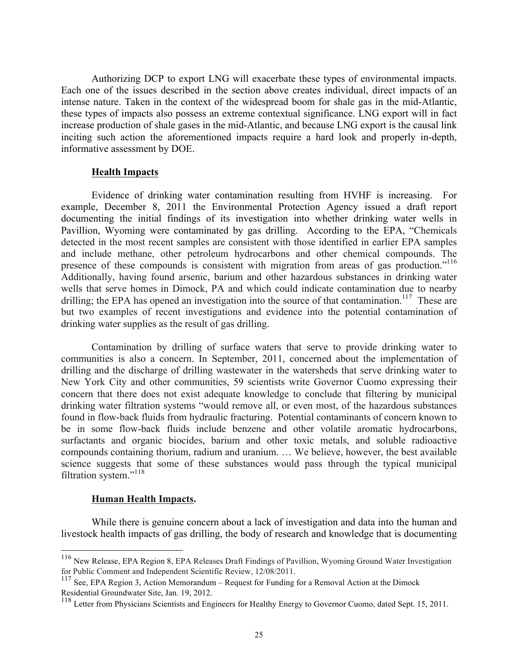Authorizing DCP to export LNG will exacerbate these types of environmental impacts. Each one of the issues described in the section above creates individual, direct impacts of an intense nature. Taken in the context of the widespread boom for shale gas in the mid-Atlantic, these types of impacts also possess an extreme contextual significance. LNG export will in fact increase production of shale gases in the mid-Atlantic, and because LNG export is the causal link inciting such action the aforementioned impacts require a hard look and properly in-depth, informative assessment by DOE.

#### **Health Impacts**

Evidence of drinking water contamination resulting from HVHF is increasing. For example, December 8, 2011 the Environmental Protection Agency issued a draft report documenting the initial findings of its investigation into whether drinking water wells in Pavillion, Wyoming were contaminated by gas drilling. According to the EPA, "Chemicals detected in the most recent samples are consistent with those identified in earlier EPA samples and include methane, other petroleum hydrocarbons and other chemical compounds. The presence of these compounds is consistent with migration from areas of gas production."<sup>116</sup> Additionally, having found arsenic, barium and other hazardous substances in drinking water wells that serve homes in Dimock, PA and which could indicate contamination due to nearby drilling; the EPA has opened an investigation into the source of that contamination.<sup>117</sup> These are but two examples of recent investigations and evidence into the potential contamination of drinking water supplies as the result of gas drilling.

Contamination by drilling of surface waters that serve to provide drinking water to communities is also a concern. In September, 2011, concerned about the implementation of drilling and the discharge of drilling wastewater in the watersheds that serve drinking water to New York City and other communities, 59 scientists write Governor Cuomo expressing their concern that there does not exist adequate knowledge to conclude that filtering by municipal drinking water filtration systems "would remove all, or even most, of the hazardous substances found in flow-back fluids from hydraulic fracturing. Potential contaminants of concern known to be in some flow-back fluids include benzene and other volatile aromatic hydrocarbons, surfactants and organic biocides, barium and other toxic metals, and soluble radioactive compounds containing thorium, radium and uranium. … We believe, however, the best available science suggests that some of these substances would pass through the typical municipal filtration system."<sup>118</sup>

#### **Human Health Impacts.**

While there is genuine concern about a lack of investigation and data into the human and livestock health impacts of gas drilling, the body of research and knowledge that is documenting

 <sup>116</sup> New Release, EPA Region 8, EPA Releases Draft Findings of Pavillion, Wyoming Ground Water Investigation for Public Comment and Independent Scientific Review, 12/08/2011.

<sup>&</sup>lt;sup>117</sup> See, EPA Region 3, Action Memorandum – Request for Funding for a Removal Action at the Dimock Residential Groundwater Site, Jan. 19, 2012.

<sup>&</sup>lt;sup>118</sup> Letter from Physicians Scientists and Engineers for Healthy Energy to Governor Cuomo, dated Sept. 15, 2011.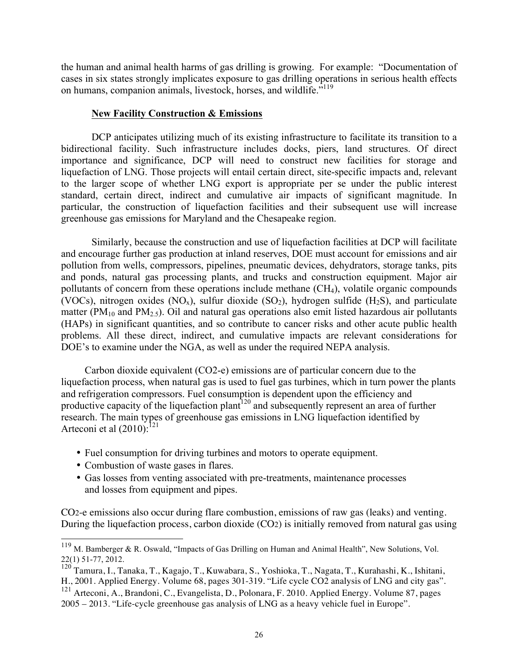the human and animal health harms of gas drilling is growing. For example: "Documentation of cases in six states strongly implicates exposure to gas drilling operations in serious health effects on humans, companion animals, livestock, horses, and wildlife."119

#### **New Facility Construction & Emissions**

DCP anticipates utilizing much of its existing infrastructure to facilitate its transition to a bidirectional facility. Such infrastructure includes docks, piers, land structures. Of direct importance and significance, DCP will need to construct new facilities for storage and liquefaction of LNG. Those projects will entail certain direct, site-specific impacts and, relevant to the larger scope of whether LNG export is appropriate per se under the public interest standard, certain direct, indirect and cumulative air impacts of significant magnitude. In particular, the construction of liquefaction facilities and their subsequent use will increase greenhouse gas emissions for Maryland and the Chesapeake region.

Similarly, because the construction and use of liquefaction facilities at DCP will facilitate and encourage further gas production at inland reserves, DOE must account for emissions and air pollution from wells, compressors, pipelines, pneumatic devices, dehydrators, storage tanks, pits and ponds, natural gas processing plants, and trucks and construction equipment. Major air pollutants of concern from these operations include methane (CH4), volatile organic compounds (VOCs), nitrogen oxides (NO<sub>x</sub>), sulfur dioxide (SO<sub>2</sub>), hydrogen sulfide (H<sub>2</sub>S), and particulate matter (PM<sub>10</sub> and PM<sub>2.5</sub>). Oil and natural gas operations also emit listed hazardous air pollutants (HAPs) in significant quantities, and so contribute to cancer risks and other acute public health problems. All these direct, indirect, and cumulative impacts are relevant considerations for DOE's to examine under the NGA, as well as under the required NEPA analysis.

Carbon dioxide equivalent (CO2-e) emissions are of particular concern due to the liquefaction process, when natural gas is used to fuel gas turbines, which in turn power the plants and refrigeration compressors. Fuel consumption is dependent upon the efficiency and productive capacity of the liquefaction plant<sup>120</sup> and subsequently represent an area of further research. The main types of greenhouse gas emissions in LNG liquefaction identified by Arteconi et al  $(2010)^{121}$ 

- Fuel consumption for driving turbines and motors to operate equipment.
- Combustion of waste gases in flares.
- Gas losses from venting associated with pre-treatments, maintenance processes and losses from equipment and pipes.

CO2-e emissions also occur during flare combustion, emissions of raw gas (leaks) and venting. During the liquefaction process, carbon dioxide (CO2) is initially removed from natural gas using

 $\overline{119}$  M. Bamberger & R. Oswald, "Impacts of Gas Drilling on Human and Animal Health", New Solutions, Vol. 22(1) 51-77, 2012.

<sup>120</sup> Tamura, I., Tanaka, T., Kagajo, T., Kuwabara, S., Yoshioka, T., Nagata, T., Kurahashi, K., Ishitani, H., 2001. Applied Energy. Volume 68, pages 301-319. "Life cycle CO2 analysis of LNG and city gas".

<sup>121</sup> Arteconi, A., Brandoni, C., Evangelista, D., Polonara, F. 2010. Applied Energy. Volume 87, pages 2005 – 2013. "Life-cycle greenhouse gas analysis of LNG as a heavy vehicle fuel in Europe".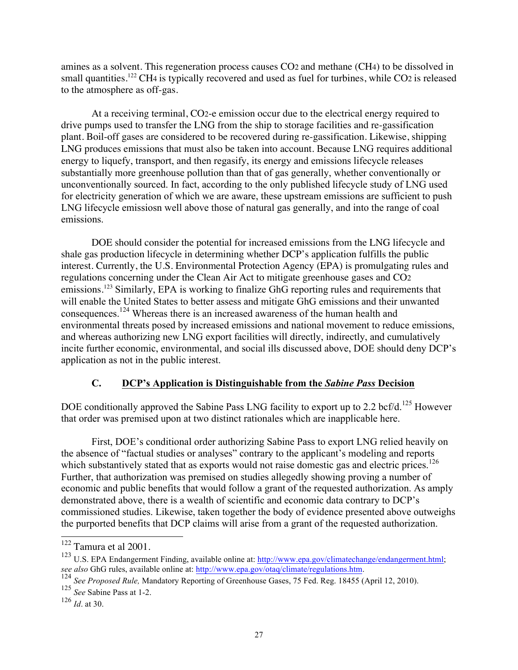amines as a solvent. This regeneration process causes CO2 and methane (CH4) to be dissolved in small quantities.<sup>122</sup> CH4 is typically recovered and used as fuel for turbines, while CO2 is released to the atmosphere as off-gas.

At a receiving terminal, CO2-e emission occur due to the electrical energy required to drive pumps used to transfer the LNG from the ship to storage facilities and re-gassification plant. Boil-off gases are considered to be recovered during re-gassification. Likewise, shipping LNG produces emissions that must also be taken into account. Because LNG requires additional energy to liquefy, transport, and then regasify, its energy and emissions lifecycle releases substantially more greenhouse pollution than that of gas generally, whether conventionally or unconventionally sourced. In fact, according to the only published lifecycle study of LNG used for electricity generation of which we are aware, these upstream emissions are sufficient to push LNG lifecycle emissiosn well above those of natural gas generally, and into the range of coal emissions.

DOE should consider the potential for increased emissions from the LNG lifecycle and shale gas production lifecycle in determining whether DCP's application fulfills the public interest. Currently, the U.S. Environmental Protection Agency (EPA) is promulgating rules and regulations concerning under the Clean Air Act to mitigate greenhouse gases and CO2 emissions.<sup>123</sup> Similarly, EPA is working to finalize GhG reporting rules and requirements that will enable the United States to better assess and mitigate GhG emissions and their unwanted consequences.124 Whereas there is an increased awareness of the human health and environmental threats posed by increased emissions and national movement to reduce emissions, and whereas authorizing new LNG export facilities will directly, indirectly, and cumulatively incite further economic, environmental, and social ills discussed above, DOE should deny DCP's application as not in the public interest.

# **C. DCP's Application is Distinguishable from the** *Sabine Pass* **Decision**

DOE conditionally approved the Sabine Pass LNG facility to export up to 2.2 bcf/d.<sup>125</sup> However that order was premised upon at two distinct rationales which are inapplicable here.

First, DOE's conditional order authorizing Sabine Pass to export LNG relied heavily on the absence of "factual studies or analyses" contrary to the applicant's modeling and reports which substantively stated that as exports would not raise domestic gas and electric prices.<sup>126</sup> Further, that authorization was premised on studies allegedly showing proving a number of economic and public benefits that would follow a grant of the requested authorization. As amply demonstrated above, there is a wealth of scientific and economic data contrary to DCP's commissioned studies. Likewise, taken together the body of evidence presented above outweighs the purported benefits that DCP claims will arise from a grant of the requested authorization.

 <sup>122</sup> Tamura et al 2001.

<sup>&</sup>lt;sup>123</sup> U.S. EPA Endangerment Finding, available online at: http://www.epa.gov/climatechange/endangerment.html; *see also* GhG rules, available online at: http://www.epa.gov/otaq/climate/regulations.htm. 124 *See Proposed Rule,* Mandatory Reporting of Greenhouse Gases, 75 Fed. Reg. 18455 (April 12, 2010).

<sup>125</sup> *See* Sabine Pass at 1-2.

<sup>126</sup> *Id*. at 30.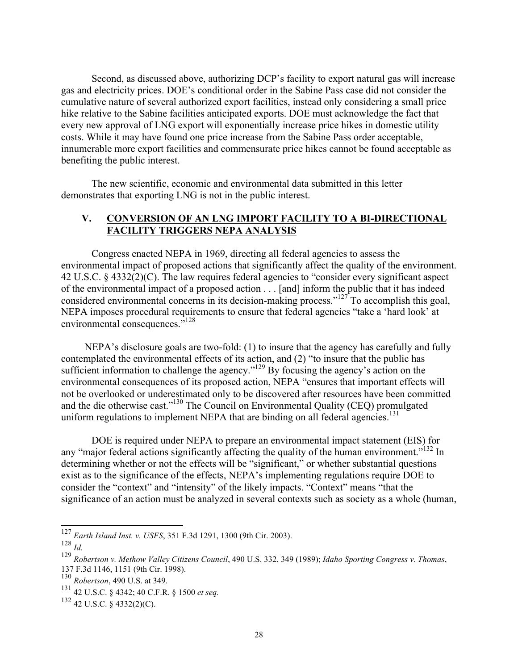Second, as discussed above, authorizing DCP's facility to export natural gas will increase gas and electricity prices. DOE's conditional order in the Sabine Pass case did not consider the cumulative nature of several authorized export facilities, instead only considering a small price hike relative to the Sabine facilities anticipated exports. DOE must acknowledge the fact that every new approval of LNG export will exponentially increase price hikes in domestic utility costs. While it may have found one price increase from the Sabine Pass order acceptable, innumerable more export facilities and commensurate price hikes cannot be found acceptable as benefiting the public interest.

The new scientific, economic and environmental data submitted in this letter demonstrates that exporting LNG is not in the public interest.

## **V. CONVERSION OF AN LNG IMPORT FACILITY TO A BI-DIRECTIONAL FACILITY TRIGGERS NEPA ANALYSIS**

Congress enacted NEPA in 1969, directing all federal agencies to assess the environmental impact of proposed actions that significantly affect the quality of the environment. 42 U.S.C. § 4332(2)(C). The law requires federal agencies to "consider every significant aspect of the environmental impact of a proposed action . . . [and] inform the public that it has indeed considered environmental concerns in its decision-making process."<sup>127</sup> To accomplish this goal, NEPA imposes procedural requirements to ensure that federal agencies "take a 'hard look' at environmental consequences."<sup>128</sup>

NEPA's disclosure goals are two-fold: (1) to insure that the agency has carefully and fully contemplated the environmental effects of its action, and (2) "to insure that the public has sufficient information to challenge the agency."<sup>129</sup> By focusing the agency's action on the environmental consequences of its proposed action, NEPA "ensures that important effects will not be overlooked or underestimated only to be discovered after resources have been committed and the die otherwise cast."130 The Council on Environmental Quality (CEQ) promulgated uniform regulations to implement NEPA that are binding on all federal agencies.<sup>131</sup>

DOE is required under NEPA to prepare an environmental impact statement (EIS) for any "major federal actions significantly affecting the quality of the human environment."<sup>132</sup> In determining whether or not the effects will be "significant," or whether substantial questions exist as to the significance of the effects, NEPA's implementing regulations require DOE to consider the "context" and "intensity" of the likely impacts. "Context" means "that the significance of an action must be analyzed in several contexts such as society as a whole (human,

 <sup>127</sup> *Earth Island Inst. v. USFS*, 351 F.3d 1291, 1300 (9th Cir. 2003).

<sup>128</sup> *Id.*

<sup>129</sup> *Robertson v. Methow Valley Citizens Council*, 490 U.S. 332, 349 (1989); *Idaho Sporting Congress v. Thomas*, 137 F.3d 1146, 1151 (9th Cir. 1998).<br><sup>130</sup> Robertson, 490 U.S. at 349.

<sup>&</sup>lt;sup>131</sup> 42 U.S.C. § 4342; 40 C.F.R. § 1500 *et seq.* 

<sup>132</sup> 42 U.S.C. § 4332(2)(C).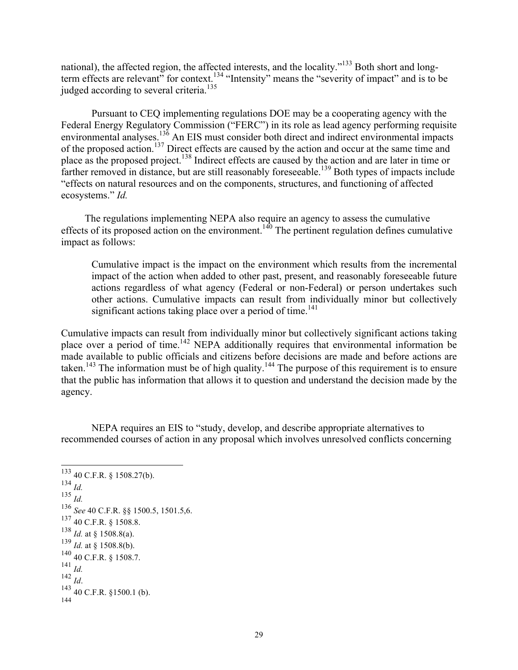national), the affected region, the affected interests, and the locality."<sup>133</sup> Both short and longterm effects are relevant" for context.<sup>134</sup> "Intensity" means the "severity of impact" and is to be judged according to several criteria.<sup>135</sup>

Pursuant to CEQ implementing regulations DOE may be a cooperating agency with the Federal Energy Regulatory Commission ("FERC") in its role as lead agency performing requisite environmental analyses.<sup>136</sup> An EIS must consider both direct and indirect environmental impacts of the proposed action.137 Direct effects are caused by the action and occur at the same time and place as the proposed project.<sup>138</sup> Indirect effects are caused by the action and are later in time or farther removed in distance, but are still reasonably foreseeable.<sup>139</sup> Both types of impacts include "effects on natural resources and on the components, structures, and functioning of affected ecosystems." *Id.*

The regulations implementing NEPA also require an agency to assess the cumulative effects of its proposed action on the environment.<sup>140</sup> The pertinent regulation defines cumulative impact as follows:

Cumulative impact is the impact on the environment which results from the incremental impact of the action when added to other past, present, and reasonably foreseeable future actions regardless of what agency (Federal or non-Federal) or person undertakes such other actions. Cumulative impacts can result from individually minor but collectively significant actions taking place over a period of time.<sup>141</sup>

Cumulative impacts can result from individually minor but collectively significant actions taking place over a period of time.<sup>142</sup> NEPA additionally requires that environmental information be made available to public officials and citizens before decisions are made and before actions are taken.<sup>143</sup> The information must be of high quality.<sup>144</sup> The purpose of this requirement is to ensure that the public has information that allows it to question and understand the decision made by the agency.

NEPA requires an EIS to "study, develop, and describe appropriate alternatives to recommended courses of action in any proposal which involves unresolved conflicts concerning

 133 40 C.F.R. § 1508.27(b). <sup>134</sup> *Id.*  $135 \frac{1}{1}$ <sup>136</sup> *See* 40 C.F.R. §§ 1500.5, 1501.5,6. <sup>137</sup> 40 C.F.R. § 1508.8. <sup>138</sup> *Id.* at § 1508.8(a).  $^{139}$  *Id.* at § 1508.8(b). <sup>140</sup> 40 C.F.R. § 1508.7. <sup>141</sup> *Id.* <sup>143</sup> 40 C.F.R. §1500.1 (b). 144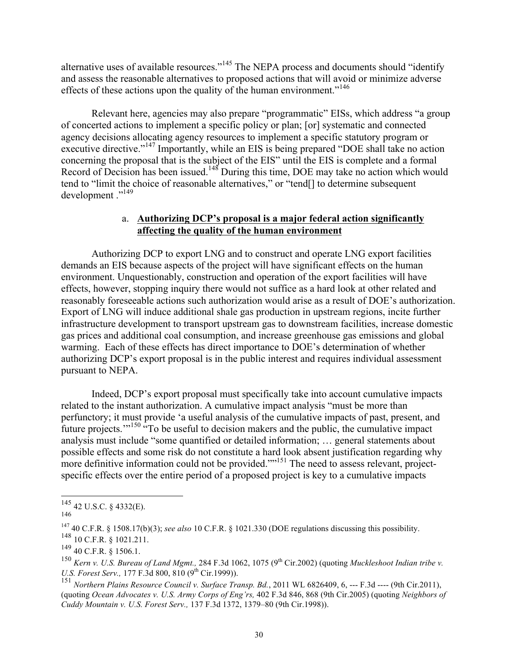alternative uses of available resources."<sup>145</sup> The NEPA process and documents should "identify and assess the reasonable alternatives to proposed actions that will avoid or minimize adverse effects of these actions upon the quality of the human environment."<sup>146</sup>

Relevant here, agencies may also prepare "programmatic" EISs, which address "a group of concerted actions to implement a specific policy or plan; [or] systematic and connected agency decisions allocating agency resources to implement a specific statutory program or executive directive."<sup>147</sup> Importantly, while an EIS is being prepared "DOE shall take no action" concerning the proposal that is the subject of the EIS" until the EIS is complete and a formal Record of Decision has been issued.<sup>148</sup> During this time, DOE may take no action which would tend to "limit the choice of reasonable alternatives," or "tend[] to determine subsequent development ."149

### a. **Authorizing DCP's proposal is a major federal action significantly affecting the quality of the human environment**

Authorizing DCP to export LNG and to construct and operate LNG export facilities demands an EIS because aspects of the project will have significant effects on the human environment. Unquestionably, construction and operation of the export facilities will have effects, however, stopping inquiry there would not suffice as a hard look at other related and reasonably foreseeable actions such authorization would arise as a result of DOE's authorization. Export of LNG will induce additional shale gas production in upstream regions, incite further infrastructure development to transport upstream gas to downstream facilities, increase domestic gas prices and additional coal consumption, and increase greenhouse gas emissions and global warming. Each of these effects has direct importance to DOE's determination of whether authorizing DCP's export proposal is in the public interest and requires individual assessment pursuant to NEPA.

Indeed, DCP's export proposal must specifically take into account cumulative impacts related to the instant authorization. A cumulative impact analysis "must be more than perfunctory; it must provide 'a useful analysis of the cumulative impacts of past, present, and future projects.'"<sup>150</sup> "To be useful to decision makers and the public, the cumulative impact analysis must include "some quantified or detailed information; … general statements about possible effects and some risk do not constitute a hard look absent justification regarding why more definitive information could not be provided.""<sup>151</sup> The need to assess relevant, projectspecific effects over the entire period of a proposed project is key to a cumulative impacts

 $^{145}$  42 U.S.C.  $\S$  4332(E).

<sup>146</sup>

<sup>&</sup>lt;sup>147</sup> 40 C.F.R. § 1508.17(b)(3); *see also* 10 C.F.R. § 1021.330 (DOE regulations discussing this possibility.<br><sup>148</sup> 10 C.F.R. § 1021.211.

 $149$  40 C.F.R. § 1506.1.

<sup>&</sup>lt;sup>150</sup> *Kern v. U.S. Bureau of Land Mgmt.,* 284 F.3d 1062, 1075 (9<sup>th</sup> Cir.2002) (quoting *Muckleshoot Indian tribe v. U.S. Forest Serv.,* 177 F.3d 800, 810 (9<sup>th</sup> Cir.1999)).

<sup>151</sup> *Northern Plains Resource Council v. Surface Transp. Bd.*, 2011 WL 6826409, 6, --- F.3d ---- (9th Cir.2011), (quoting *Ocean Advocates v. U.S. Army Corps of Eng'rs,* 402 F.3d 846, 868 (9th Cir.2005) (quoting *Neighbors of Cuddy Mountain v. U.S. Forest Serv.,* 137 F.3d 1372, 1379–80 (9th Cir.1998)).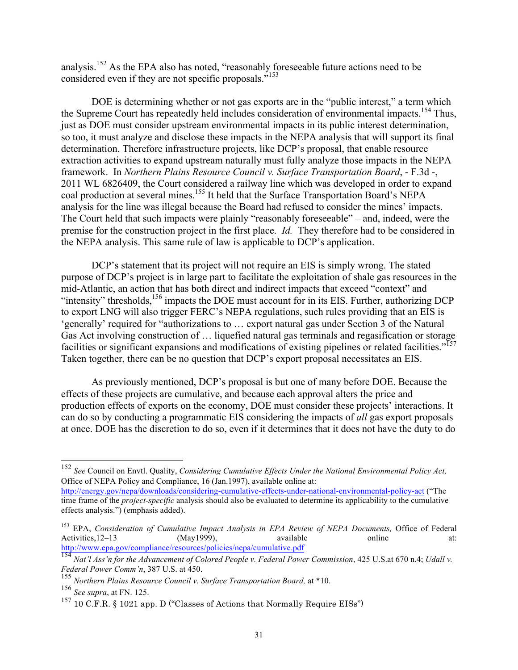analysis.<sup>152</sup> As the EPA also has noted, "reasonably foreseeable future actions need to be considered even if they are not specific proposals."<sup>153</sup>

DOE is determining whether or not gas exports are in the "public interest," a term which the Supreme Court has repeatedly held includes consideration of environmental impacts.<sup>154</sup> Thus, just as DOE must consider upstream environmental impacts in its public interest determination, so too, it must analyze and disclose these impacts in the NEPA analysis that will support its final determination. Therefore infrastructure projects, like DCP's proposal, that enable resource extraction activities to expand upstream naturally must fully analyze those impacts in the NEPA framework. In *Northern Plains Resource Council v. Surface Transportation Board*, - F.3d -, 2011 WL 6826409, the Court considered a railway line which was developed in order to expand coal production at several mines.<sup>155</sup> It held that the Surface Transportation Board's NEPA analysis for the line was illegal because the Board had refused to consider the mines' impacts. The Court held that such impacts were plainly "reasonably foreseeable" – and, indeed, were the premise for the construction project in the first place. *Id.* They therefore had to be considered in the NEPA analysis. This same rule of law is applicable to DCP's application.

DCP's statement that its project will not require an EIS is simply wrong. The stated purpose of DCP's project is in large part to facilitate the exploitation of shale gas resources in the mid-Atlantic, an action that has both direct and indirect impacts that exceed "context" and "intensity" thresholds,<sup>156</sup> impacts the DOE must account for in its EIS. Further, authorizing DCP to export LNG will also trigger FERC's NEPA regulations, such rules providing that an EIS is 'generally' required for "authorizations to … export natural gas under Section 3 of the Natural Gas Act involving construction of … liquefied natural gas terminals and regasification or storage facilities or significant expansions and modifications of existing pipelines or related facilities."<sup>157</sup> Taken together, there can be no question that DCP's export proposal necessitates an EIS.

As previously mentioned, DCP's proposal is but one of many before DOE. Because the effects of these projects are cumulative, and because each approval alters the price and production effects of exports on the economy, DOE must consider these projects' interactions. It can do so by conducting a programmatic EIS considering the impacts of *all* gas export proposals at once. DOE has the discretion to do so, even if it determines that it does not have the duty to do

 <sup>152</sup> *See* Council on Envtl. Quality, *Considering Cumulative Effects Under the National Environmental Policy Act,* Office of NEPA Policy and Compliance, 16 (Jan.1997), available online at:

http://energy.gov/nepa/downloads/considering-cumulative-effects-under-national-environmental-policy-act ("The time frame of the *project-specific* analysis should also be evaluated to determine its applicability to the cumulative effects analysis.") (emphasis added).

<sup>153</sup> EPA, *Consideration of Cumulative Impact Analysis in EPA Review of NEPA Documents,* Office of Federal Activities,12–13 (May1999), available online at: http://www.epa.gov/compliance/resources/policies/nepa/cumulative.pdf

<sup>154</sup> *Nat'l Ass'n for the Advancement of Colored People v. Federal Power Commission*, 425 U.S.at 670 n.4; *Udall v. Federal Power Comm'n*, 387 U.S. at 450.

<sup>155</sup> *Northern Plains Resource Council v. Surface Transportation Board,* at \*10.

<sup>156</sup> *See supra*, at FN. 125.

<sup>&</sup>lt;sup>157</sup> 10 C.F.R. § 1021 app. D ("Classes of Actions that Normally Require EISs")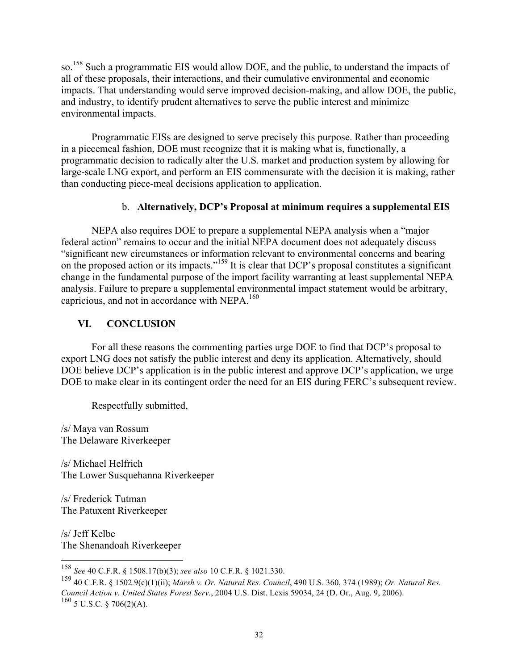so.<sup>158</sup> Such a programmatic EIS would allow DOE, and the public, to understand the impacts of all of these proposals, their interactions, and their cumulative environmental and economic impacts. That understanding would serve improved decision-making, and allow DOE, the public, and industry, to identify prudent alternatives to serve the public interest and minimize environmental impacts.

Programmatic EISs are designed to serve precisely this purpose. Rather than proceeding in a piecemeal fashion, DOE must recognize that it is making what is, functionally, a programmatic decision to radically alter the U.S. market and production system by allowing for large-scale LNG export, and perform an EIS commensurate with the decision it is making, rather than conducting piece-meal decisions application to application.

# b. **Alternatively, DCP's Proposal at minimum requires a supplemental EIS**

NEPA also requires DOE to prepare a supplemental NEPA analysis when a "major federal action" remains to occur and the initial NEPA document does not adequately discuss "significant new circumstances or information relevant to environmental concerns and bearing on the proposed action or its impacts."<sup>159</sup> It is clear that DCP's proposal constitutes a significant change in the fundamental purpose of the import facility warranting at least supplemental NEPA analysis. Failure to prepare a supplemental environmental impact statement would be arbitrary, capricious, and not in accordance with NEPA.<sup>160</sup>

# **VI. CONCLUSION**

For all these reasons the commenting parties urge DOE to find that DCP's proposal to export LNG does not satisfy the public interest and deny its application. Alternatively, should DOE believe DCP's application is in the public interest and approve DCP's application, we urge DOE to make clear in its contingent order the need for an EIS during FERC's subsequent review.

Respectfully submitted,

/s/ Maya van Rossum The Delaware Riverkeeper

/s/ Michael Helfrich The Lower Susquehanna Riverkeeper

/s/ Frederick Tutman The Patuxent Riverkeeper

/s/ Jeff Kelbe The Shenandoah Riverkeeper

<sup>158</sup> *See* 40 C.F.R. § 1508.17(b)(3); *see also* 10 C.F.R. § 1021.330. 159 40 C.F.R. § 1502.9(c)(1)(ii); *Marsh v. Or. Natural Res. Council*, 490 U.S. 360, 374 (1989); *Or. Natural Res. Council Action v. United States Forest Serv.*, 2004 U.S. Dist. Lexis 59034, 24 (D. Or., Aug. 9, 2006).

 $^{160}$  5 U.S.C. § 706(2)(A).